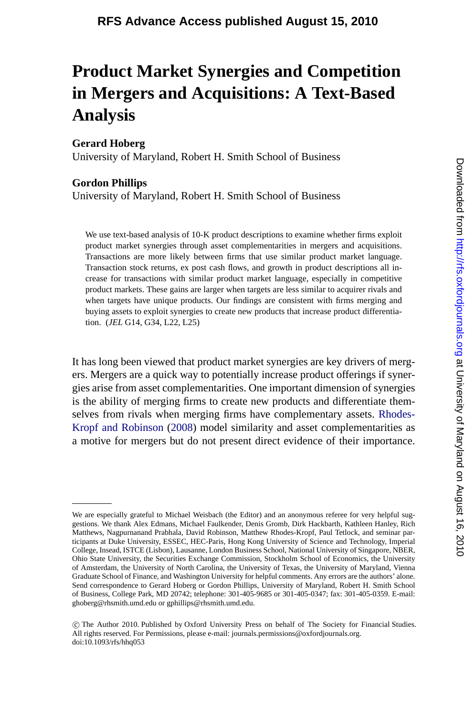**RFS Advance Access published August 15, 2010**

# **Product Market Synergies and Competition in Mergers and Acquisitions: A Text-Based Analysis**

### **Gerard Hoberg**

University of Maryland, Robert H. Smith School of Business

# **Gordon Phillips**

University of Maryland, Robert H. Smith School of Business

We use text-based analysis of 10-K product descriptions to examine whether firms exploit product market synergies through asset complementarities in mergers and acquisitions. Transactions are more likely between firms that use similar product market la[nguage.](#page-38-0) [Transaction stock retu](#page-38-0)r[ns, ex p](#page-38-0)ost cash flows, and growth in product descriptions all increase for transactions with similar product market language, especially in competitive product markets. These gains are larger when targets are less similar to acquirer rivals and when targets have unique products. Our findings are consistent with firms merging and buying assets to exploit synergies to create new products that increase product differentiation. (*JEL* G14, G34, L22, L25)

It has long been viewed that product market synergies are key drivers of mergers. Mergers are a quick way to potentially increase product offerings if synergies arise from asset complementarities. One important dimension of synergies is the ability of merging firms to create new products and differentiate themselves from rivals when merging firms have complementary assets. Rhodes-Kropf and Robinson (2008) model similarity and asset complementarities as a motive for mergers but do not present direct evidence of their importance.

We are especially grateful to Michael Weisbach (the Editor) and an anonymous referee for very helpful suggestions. We thank Alex Edmans, Michael Faulkender, Denis Gromb, Dirk Hackbarth, Kathleen Hanley, Rich Matthews, Nagpurnanand Prabhala, David Robinson, Matthew Rhodes-Kropf, Paul Tetlock, and seminar participants at Duke University, ESSEC, HEC-Paris, Hong Kong University of Science and Technology, Imperial College, Insead, ISTCE (Lisbon), Lausanne, London Business School, National University of Singapore, NBER, Ohio State University, the Securities Exchange Commission, Stockholm School of Economics, the University of Amsterdam, the University of North Carolina, the University of Texas, the University of Maryland, Vienna Graduate School of Finance, and Washington University for helpful comments. Any errors are the authors' alone. Send correspondence to Gerard Hoberg or Gordon Phillips, University of Maryland, Robert H. Smith School of Business, College Park, MD 20742; telephone: 301-405-9685 or 301-405-0347; fax: 301-405-0359. E-mail: ghoberg@rhsmith.umd.edu or gphillips@rhsmith.umd.edu.

c The Author 2010. Published by Oxford University Press on behalf of The Society for Financial Studies. All rights reserved. For Permissions, please e-mail: journals.permissions@oxfordjournals.org. doi:10.1093/rfs/hhq053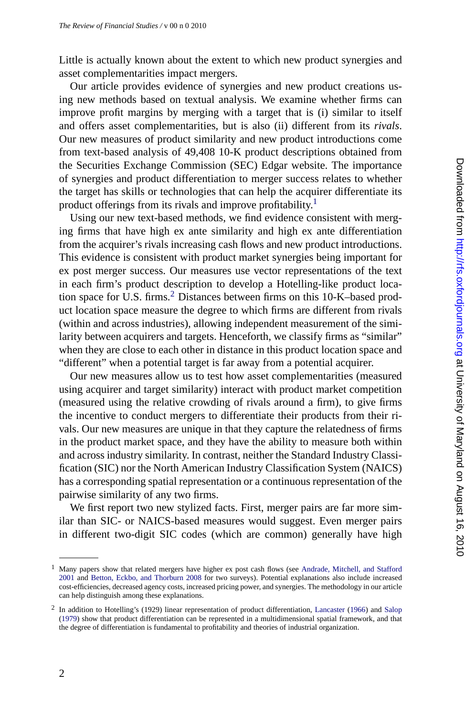Little is actually known about the extent to which new product synergies and asset complementarities impact mergers.

Our article provides evidence of synergies and new product creations using new methods based on textual analysis. We examine whether firms can improve profit margins by merging with a target that is (i) similar to itself and offers asset complementarities, but is also (ii) different from its *rivals*. Our new measures of product similarity and new product introductions come from text-based analysis of 49,408 10-K product descriptions obtained from the Securities Exchange Commission (SEC) Edgar website. The importance of synergies and product differentiation to merger success relates to whether the target has skills or technologies that can help the acquirer differentiate its product offerings from its rivals and improve profitability.<sup>1</sup>

Using our new text-based methods, we find evidence consistent with merging firms that have high ex ante similarity and high ex ante differentiation from the acquirer's rivals increasing cash flows and new product introductions. This evidence is consistent with product market synergies being important for ex post merger success. Our measures use vector representations of the text in each firm's product description to develop a Hotelling-like product location space for U.S. firms.<sup>2</sup> Distances between firms on this 10-K–based product location space measure the degree to which firms are different from rivals (within and across industries), allowing independent measurement of the similarity between acquirers and targets. Henceforth, we classify firms as "similar" when they are close to each other in distance in this product location space and "different" when a potential target is far away from a potential acquirer.

Our new measures allow us to test how asset complementarities (measured using acquirer and target similarity) interact with product market competition (measured using the relative crowding of rivals around a firm), to give firms [the](#page-37-0) inc[entive to conduct mergers](#page-37-0) to differentiate their [products](#page-37-0) [from](#page-37-0) [their](#page-37-0) [ri](#page-37-0)vals. Our new measures are unique in that they capture the relatedness of firms in the product market space, and they have the ability to measure both within [and a](#page-38-0)cross industry similarity. In contrast, neither the Stan[dard](#page-38-0) [Industry](#page-38-0) Cl[assi](#page-38-0)fication (SIC) nor the North American Industry Classification System (NAICS) has a corresponding spatial representation or a continuous representation of the pairwise similarity of any two firms.

We first report two new stylized facts. First, merger pairs are far more similar than SIC- or NAICS-based measures would suggest. Even merger pairs in different two-digit SIC codes (which are common) generally have high

<sup>1</sup> Many papers show that related mergers have higher ex post cash flows (see Andrade, Mitchell, and Stafford 2001 and Betton, Eckbo, and Thorburn 2008 for two surveys). Potential explanations also include increased cost-efficiencies, decreased agency costs, increased pricing power, and synergies. The methodology in our article can help distinguish among these explanations.

<sup>2</sup> In addition to Hotelling's (1929) linear representation of product differentiation, Lancaster (1966) and Salop (1979) show that product differentiation can be represented in a multidimensional spatial framework, and that the degree of differentiation is fundamental to profitability and theories of industrial organization.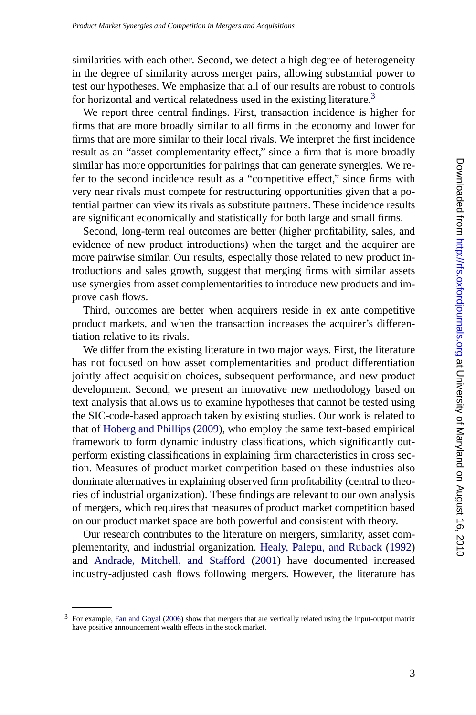similarities with each other. Second, we detect a high degree of heterogeneity in the degree of similarity across merger pairs, allowing substantial power to test our hypotheses. We emphasize that all of our results are robust to controls for horizontal and vertical relatedness used in the existing literature.<sup>3</sup>

We report three central findings. First, transaction incidence is higher for firms that are more broadly similar to all firms in the economy and lower for firms that are more similar to their local rivals. We interpret the first incidence result as an "asset complementarity effect," since a firm that is more broadly similar has more opportunities for pairings that can generate synergies. We refer to the second incidence result as a "competitive effect," since firms with very near rivals must compete for restructuring opportunities given that a potential partner can view its rivals as substitute partners. These incidence results are significant economically and statistically for both large and small firms.

Second, long-term real outcomes are better (higher profitability, sales, and evidence of new product introductions) when the target and the acquirer are more pairwise similar. Our results, especially those related to new product introduc[tions and sales grow](#page-37-0)t[h, sug](#page-37-0)gest that merging firms with similar assets use synergies from asset complementarities to introduce new products and improve cash flows.

Third, outcomes are better when acquirers reside in ex ante competitive product markets, and when the transaction increases the acquirer's differentiation relative to its rivals.

We differ from the existing literature in two major ways. First, the literature has not focused on how asset complementarities and product differentiation jointly affect acquisition choices, subsequent performance, and new product development. Second, we present an inn[ovative new methodology based on](#page-37-0) text [analysis that allows us to examine](#page-37-0) h[ypothe](#page-37-0)ses that cannot be tested using the SIC-code-based approach taken by existing studies. Our work is related to that of Hoberg and Phillips (2009), who employ the same text-based empirical framework to form dynamic industry classifications, which significantly outperform [existing classific](#page-37-0)ations in explaining firm characteristics in cross section. Measures of product market competition based on these industries also dominate alternatives in explaining observed firm profitability (central to theories of industrial organization). These findings are relevant to our own analysis of mergers, which requires that measures of product market competition based on our product market space are both powerful and consistent with theory.

Our research contributes to the literature on mergers, similarity, asset complementarity, and industrial organization. Healy, Palepu, and Ruback (1992) and Andrade, Mitchell, and Stafford (2001) have documented increased industry-adjusted cash flows following mergers. However, the literature has

<sup>3</sup> For example, Fan and Goyal (2006) show that mergers that are vertically related using the input-output matrix have positive announcement wealth effects in the stock market.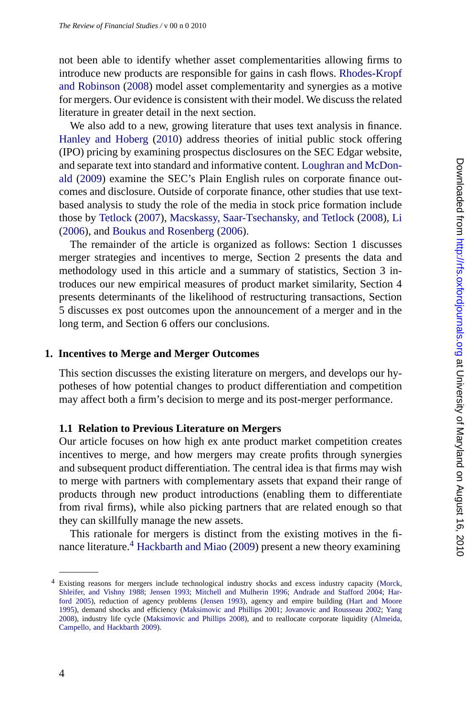not been [able to](#page-38-0) [identi](#page-38-0)f[y whether asset complementarities allowing firm](#page-38-0)s [to](#page-38-0) i[ntrod](#page-38-0)uce n[ew products are respons](#page-37-0)i[ble fo](#page-37-0)r gains in cash flows. Rhodes-Kropf and Robinson (2008) model asset complementarity and synergies as a motive for mergers. Our evidence is consistent with their model. We discuss the related literature in greater detail in the next section.

We also add to a new, growing literature that uses text analysis in finance. Hanley and Hoberg (2010) address theories of initial public stock offering (IPO) pricing by examining prospectus disclosures on the SEC Edgar website, and separate text into standard and informative content. Loughran and McDonald (2009) examine the SEC's Plain English rules on corporate finance outcomes and disclosure. Outside of corporate finance, other studies that use textbased analysis to study the role of the media in stock price formation include those by Tetlock (2007), Macskassy, Saar-Tsechansky, and Tetlock (2008), Li (2006), and Boukus and Rosenberg (2006).

The remainder of the article is organized as follows: Section 1 discusses merger strategies and incentives to merge, Section 2 presents the data and methodology used in this article and a summary of statistics, Section 3 introduces our new empirical measures of product market similarity, Section 4 presents determinants of the likelihood of restructuring transactions, Section 5 discusses ex post outcomes upon the announcement of a merger and in the long term, and Section 6 offers our conclusions.

### **1. Incentives to Merge and Merger Outcomes**

This section discusses the existing literature on mergers, and develops our hypotheses of how [potential changes to](#page-37-0) [produc](#page-37-0)t differentiation and competition may affect both a firm's decision to merge and its post-merger performance.

### **[1.1 Relation to Previous Lit](#page-38-0)e[rature on Mergers](#page-38-0)**

[Ou](#page-37-0)r [arti](#page-37-0)cle focuses on how hig[h ex ante](#page-38-0) product m[arket](#page-37-0) [competition creates](#page-37-0) [ince](#page-37-0)ntives to merg[e, and how mergers may](#page-38-0) [create](#page-38-0) [profits](#page-38-0) [through](#page-38-0) [syne](#page-38-0)[r](#page-37-0)[gies](#page-38-0) [and subsequent produc](#page-37-0)t differentiation. The central idea is that firms may wish to merge with partners with complementary assets that expand their range of products through new product introductions (enabling them to differentiate from rival firms), while also picking partners that are related enough so that they can skillfully manage the new assets.

This rationale for mergers is distinct from the existing motives in the finance literature.<sup>4</sup> Hackbarth and Miao (2009) present a new theory examining

<sup>4</sup> Existing reasons for mergers include technological industry shocks and excess industry capacity (Morck, Shleifer, and Vishny 1988; Jensen 1993; Mitchell and Mulherin 1996; Andrade and Stafford 2004; Harford 2005), reduction of agency problems (Jensen 1993), agency and empire building (Hart and Moore 1995), demand shocks and efficiency (Maksimovic and Phillips 2001; Jovanovic and Rousseau 2002; Yang 2008), industry life cycle (Maksimovic and Phillips 2008), and to reallocate corporate liquidity (Almeida, Campello, and Hackbarth 2009).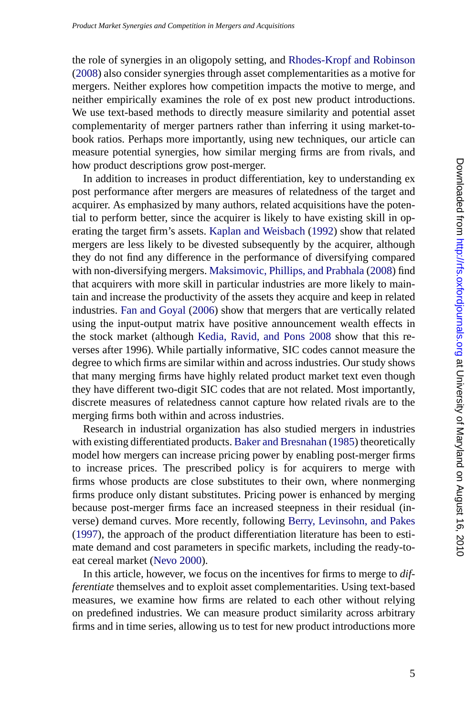the role of synergies in an oligopoly setting, and Rhodes-Kropf and Robinson (2008) also consider synergies [through asset complementari](#page-38-0)ties as a motive for mergers. Neither explores how competition impacts the motive to merge, and neither empirically examines the role of ex post new product introductions. We use text-based methods to [directly measure similarity and potential](#page-38-0) asset complementarity of merger partners rather than inferring it using market-tobook ratios. Perhaps more importantly, using new techniques, our article can measure p[otential synergi](#page-37-0)e[s, how](#page-37-0) similar merging firms are from rivals, and how product descriptions grow post-merger.

In addition to increases i[n product differentiation,](#page-38-0) [key to](#page-38-0) understanding ex post performance after mergers are measures of relatedness of the target and acquirer. As emphasized by many authors, related acquisitions have the potential to perform better, since the acquirer is likely to have existing skill in operating the target firm's assets. Kaplan and Weisbach (1992) show that related mergers are less likely to be divested subsequently by the acquirer, although they do not find any difference in the performance of diversifying compared with non-diversifying mergers. Maksimovic, Phillips, and Prabhala (2008) find that acquirers with more skill in par[ticular industries are more li](#page-37-0)kely to maintain and increase the productivity of the assets they acquire and keep in related industries. Fan and Goyal (2006) show that mergers that are vertically related using the input-output matrix have positive announcement wealth effects in the stock market (although Kedia, Ravid, and Pons 2008 show that this reverses after 1996). While partially informative, SIC codes cannot measure the degree to which firms are similar within and acro[ss industries. Our study shows](#page-37-0) t[hat m](#page-37-0)any merging firms have highly related product market text even though they have different two-digit SIC codes that are not related. Most importantly, discrete measures [of relatedn](#page-38-0)ess cannot capture how related rivals are to the merging firms both within and across industries.

Research in industrial organization has also studied mergers in industries with existing differentiated products. Baker and Bresnahan (1985) theoretically model how mergers can increase pricing power by enabling post-merger firms to increase prices. The prescribed policy is for acquirers to merge with firms whose products are close substitutes to their own, where nonmerging firms produce only distant substitutes. Pricing power is enhanced by merging because post-merger firms face an increased steepness in their residual (inverse) demand curves. More recently, following Berry, Levinsohn, and Pakes (1997), the approach of the product differentiation literature has been to estimate demand and cost parameters in specific markets, including the ready-toeat cereal market (Nevo 2000).

In this article, however, we focus on the incentives for firms to merge to *differentiate* themselves and to exploit asset complementarities. Using text-based measures, we examine how firms are related to each other without relying on predefined industries. We can measure product similarity across arbitrary firms and in time series, allowing us to test for new product introductions more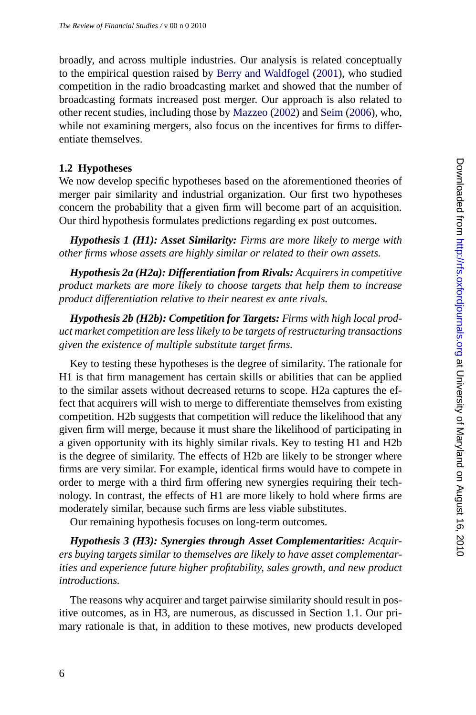broadly, and across multiple industries. Our analysis is related conceptually to the empirical question raised by Berry and Waldfogel (2001), who studied competition in the radio broadcasting market and showed that the number of broadcasting formats increased post merger. Our approach is also related to other recent studies, including those by Mazzeo (2002) and Seim (2006), who, while not examining mergers, also focus on the incentives for firms to differentiate themselves.

### **1.2 Hypotheses**

We now develop specific hypotheses based on the aforementioned theories of merger pair similarity and industrial organization. Our first two hypotheses concern the probability that a given firm will become part of an acquisition. Our third hypothesis formulates predictions regarding ex post outcomes.

*Hypothesis 1 (H1): Asset Similarity: Firms are more likely to merge with other firms whose assets are highly similar or related to their own assets.*

*Hypothesis 2a (H2a): Differentiation from Rivals: Acquirers in competitive product markets are more likely to choose targets that help them to increase product differentiation relative to their nearest ex ante rivals.*

*Hypothesis 2b (H2b): Competition for Targets: Firms with high local product market competition are less likely to be targets of restructuring transactions given the existence of multiple substitute target firms.*

Key to testing these hypotheses is the degree of similarity. The rationale for H1 is that firm management has certain skills or abilities that can be applied to the similar assets without decreased returns to scope. H2a captures the effect that acquirers will wish to merge to differentiate themselves from existing competition. H2b suggests that competition will reduce the likelihood that any given firm will merge, because it must share the likelihood of participating in a given opportunity with its highly similar rivals. Key to testing H1 and H2b is the degree of similarity. The effects of H2b are likely to be stronger where firms are very similar. For example, identical firms would have to compete in order to merge with a third firm offering new synergies requiring their technology. In contrast, the effects of H1 are more likely to hold where firms are moderately similar, because such firms are less viable substitutes.

Our remaining hypothesis focuses on long-term outcomes.

*Hypothesis 3 (H3): Synergies through Asset Complementarities: Acquirers buying targets similar to themselves are likely to have asset complementarities and experience future higher profitability, sales growth, and new product introductions.*

The reasons why acquirer and target pairwise similarity should result in positive outcomes, as in H3, are numerous, as discussed in Section 1.1. Our primary rationale is that, in addition to these motives, new products developed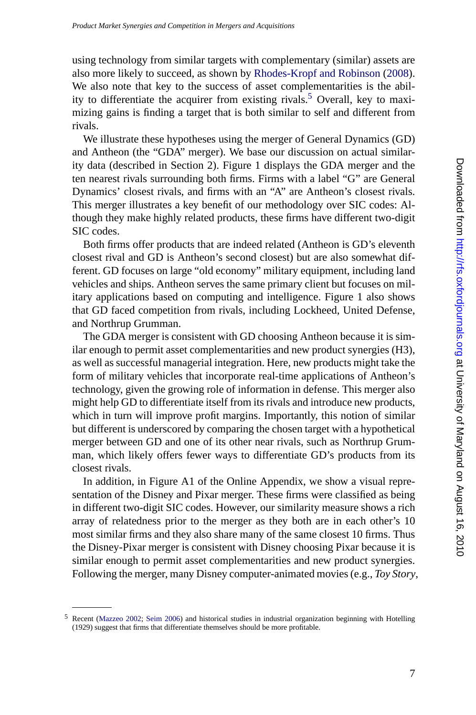using technology from similar targets with complementary (similar) assets are also more likely to succeed, as shown by Rhodes-Kropf and Robinson (2008). We also note that key to the success of asset complementarities is the ability to differentiate the acquirer from existing rivals.<sup>5</sup> Overall, key to maximizing gains is finding a target that is both similar to self and different from rivals.

We illustrate these hypotheses using the merger of General Dynamics (GD) and Antheon (the "GDA" merger). We base our discussion on actual similarity data (described in Section 2). Figure 1 displays the GDA merger and the ten nearest rivals surrounding both firms. Firms with a label "G" are General Dynamics' closest rivals, and firms with an "A" are Antheon's closest rivals. This merger illustrates a key benefit of our methodology over SIC codes: Although they make highly related products, these firms have different two-digit SIC codes.

Both firms offer products that are indeed related (Antheon is GD's eleventh closest rival and GD is Antheon's second closest) but are also somewhat different. GD focuses on large "old economy" military equipment, including land vehicles and ships. Antheon serves the same primary client but focuses on military applications based on computing and intelligence. Figure 1 also shows that GD faced competition from rivals, including Lockheed, United Defense, and Northrup Grumman.

The GDA merger is consistent with GD choosing Antheon because it is similar enough to permit asset complementarities and new product synergies (H3), as well as successful managerial integration. Here, new products might take the form of military vehicles that incorporate real-time applications of Antheon's technology, given the growing role of information in defense. This merger also might help GD to differentiate itself from its rivals and introduce new products, which in turn will improve profit margins. Importantly, this notion of similar but different is underscored by comparing the chosen target with a hypothetical merger between GD and one of its other near rivals, such as Northrup Grumman, [which likely offers](#page-38-0) fewer ways to differentiate GD's products from its closest rivals.

In addition, in Figure A1 of the Online Appendix, we show a visual representation of the Disney and Pixar merger. These firms were classified as being in different two-digit SIC codes. However, our similarity measure shows a rich array of relatedness prior to the merger as they both are in each other's 10 most similar firms and they also share many of the same closest 10 firms. Thus the Disney-Pixar merger is consistent with Disney choosing Pixar because it is similar enough to permit asset complementarities and new product synergies. Following the merger, many Disney computer-animated movies (e.g., *Toy Story*,

<sup>5</sup> Recent (Mazzeo 2002; Seim 2006) and historical studies in industrial organization beginning with Hotelling (1929) suggest that firms that differentiate themselves should be more profitable.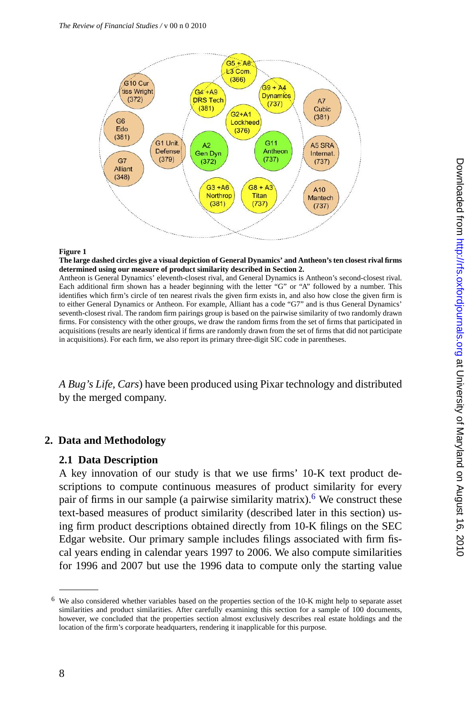



### **Figure 1**

**The large dashed circles give a visual depiction of General Dynamics' and Antheon's ten closest rival firms determined using our measure of product similarity described in Section 2.**

Antheon is General Dynamics' eleventh-closest rival, and General Dynamics is Antheon's second-closest rival. Each additional firm shown has a header beginning with the letter "G" or "A" followed by a number. This identifies which firm's circle of ten nearest rivals the given firm exists in, and also how close the given firm is to either General Dynamics or Antheon. For example, Alliant has a code "G7" and is thus General Dynamics' seventh-closest rival. The random firm pairings group is based on the pairwise similarity of two randomly drawn firms. For consistency with the other groups, we draw the random firms from the set of firms that participated in acquisitions (results are nearly identical if firms are randomly drawn from the set of firms that did not participate in acquisitions). For each firm, we also report its primary three-digit SIC code in parentheses.

*A Bug's Life, Cars*) have been produced using Pixar technology and distributed by the merged company.

### **2. Data and Methodology**

## **2.1 Data Description**

A key innovation of our study is that we use firms' 10-K text product descriptions to compute continuous measures of product similarity for every pair of firms in our sample (a pairwise similarity matrix).<sup>6</sup> We construct these text-based measures of product similarity (described later in this section) using firm product descriptions obtained directly from 10-K filings on the SEC Edgar website. Our primary sample includes filings associated with firm fiscal years ending in calendar years 1997 to 2006. We also compute similarities for 1996 and 2007 but use the 1996 data to compute only the starting value

<sup>6</sup> We also considered whether variables based on the properties section of the 10-K might help to separate asset similarities and product similarities. After carefully examining this section for a sample of 100 documents, however, we concluded that the properties section almost exclusively describes real estate holdings and the location of the firm's corporate headquarters, rendering it inapplicable for this purpose.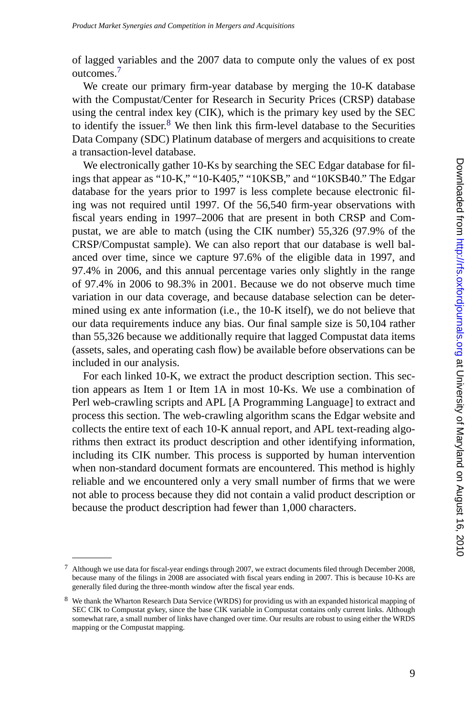of lagged variables and the 2007 data to compute only the values of ex post outcomes.7

We create our primary firm-year database by merging the 10-K database with the Compustat/Center for Research in Security Prices (CRSP) database using the central index key (CIK), which is the primary key used by the SEC to identify the issuer.<sup>8</sup> We then link this firm-level database to the Securities Data Company (SDC) Platinum database of mergers and acquisitions to create a transaction-level database.

We electronically gather 10-Ks by searching the SEC Edgar database for filings that appear as "10-K," "10-K405," "10KSB," and "10KSB40." The Edgar database for the years prior to 1997 is less complete because electronic filing was not required until 1997. Of the 56,540 firm-year observations with fiscal years ending in 1997–2006 that are present in both CRSP and Compustat, we are able to match (using the CIK number) 55,326 (97.9% of the CRSP/Compustat sample). We can also report that our database is well balanced over time, since we capture 97.6% of the eligible data in 1997, and 97.4% in 2006, and this annual percentage varies only slightly in the range of 97.4% in 2006 to 98.3% in 2001. Because we do not observe much time variation in our data coverage, and because database selection can be determined using ex ante information (i.e., the 10-K itself), we do not believe that our data requirements induce any bias. Our final sample size is 50,104 rather than 55,326 because we additionally require that lagged Compustat data items (assets, sales, and operating cash flow) be available before observations can be included in our analysis.

For each linked 10-K, we extract the product description section. This section appears as Item 1 or Item 1A in most 10-Ks. We use a combination of Perl web-crawling scripts and APL [A Programming Language] to extract and process this section. The web-crawling algorithm scans the Edgar website and collects the entire text of each 10-K annual report, and APL text-reading algorithms then extract its product description and other identifying information, including its CIK number. This process is supported by human intervention when non-standard document formats are encountered. This method is highly reliable and we encountered only a very small number of firms that we were not able to process because they did not contain a valid product description or because the product description had fewer than 1,000 characters.

<sup>7</sup> Although we use data for fiscal-year endings through 2007, we extract documents filed through December 2008, because many of the filings in 2008 are associated with fiscal years ending in 2007. This is because 10-Ks are generally filed during the three-month window after the fiscal year ends.

<sup>8</sup> We thank the Wharton Research Data Service (WRDS) for providing us with an expanded historical mapping of SEC CIK to Compustat gvkey, since the base CIK variable in Compustat contains only current links. Although somewhat rare, a small number of links have changed over time. Our results are robust to using either the WRDS mapping or the Compustat mapping.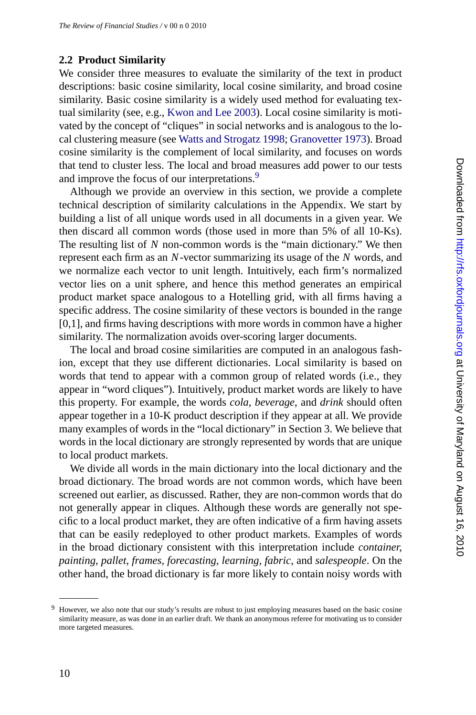### **2.2 Product Similarity**

We consider three measures to evaluate the similarity of the text in product descriptions: basic cosine similarity, local cosine similarity, and broad cosine similarity. Basic cosine similarity is a widely used method for evaluating textual similarity (see, e.g., Kwon and Lee 2003). Local cosine similarity is motivated by the concept of "cliques" in social networks and is analogous to the local clustering measure (see Watts and Strogatz 1998; Granovetter 1973). Broad cosine similarity is the complement of local similarity, and focuses on words that tend to cluster less. The local and broad measures add power to our tests and improve the focus of our interpretations.<sup>9</sup>

Although we provide an overview in this section, we provide a complete technical description of similarity calculations in the Appendix. We start by building a list of all unique words used in all documents in a given year. We then discard all common words (those used in more than 5% of all 10-Ks). The resulting list of *N* non-common words is the "main dictionary." We then represent each firm as an *N*-vector summarizing its usage of the *N* words, and we normalize each vector to unit length. Intuitively, each firm's normalized vector lies on a unit sphere, and hence this method generates an empirical product market space analogous to a Hotelling grid, with all firms having a specific address. The cosine similarity of these vectors is bounded in the range [0,1], and firms having descriptions with more words in common have a higher similarity. The normalization avoids over-scoring larger documents.

The local and broad cosine similarities are computed in an analogous fashion, except that they use different dictionaries. Local similarity is based on words that tend to appear with a common group of related words (i.e., they appear in "word cliques"). Intuitively, product market words are likely to have this property. For example, the words *cola, beverage*, and *drink* should often appear together in a 10-K product description if they appear at all. We provide many examples of words in the "local dictionary" in Section 3. We believe that words in the local dictionary are strongly represented by words that are unique to local product markets.

We divide all words in the main dictionary into the local dictionary and the broad dictionary. The broad words are not common words, which have been screened out earlier, as discussed. Rather, they are non-common words that do not generally appear in cliques. Although these words are generally not specific to a local product market, they are often indicative of a firm having assets that can be easily redeployed to other product markets. Examples of words in the broad dictionary consistent with this interpretation include *container, painting, pallet, frames, forecasting, learning, fabric,* and *salespeople*. On the other hand, the broad dictionary is far more likely to contain noisy words with

<sup>&</sup>lt;sup>9</sup> However, we also note that our study's results are robust to just employing measures based on the basic cosine similarity measure, as was done in an earlier draft. We thank an anonymous referee for motivating us to consider more targeted measures.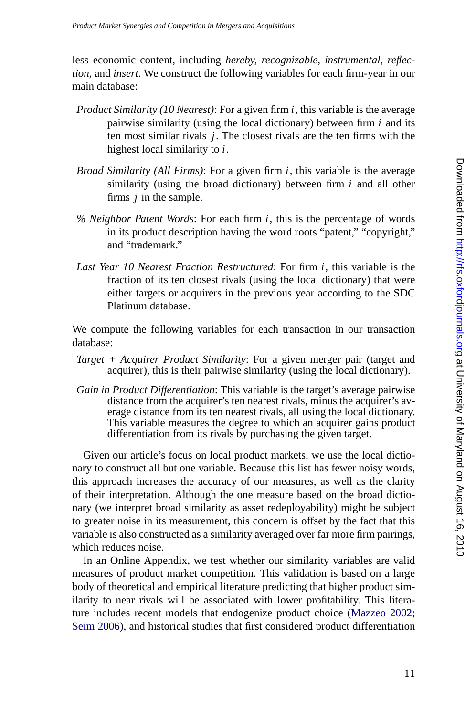less economic content, including *hereby, recognizable, instrumental, reflection,* and *insert*. We construct the following variables for each firm-year in our main database:

- *Product Similarity (10 Nearest)*: For a given firm *i*, this variable is the average pairwise similarity (using the local dictionary) between firm *i* and its ten most similar rivals *j*. The closest rivals are the ten firms with the highest local similarity to *i*.
- *Broad Similarity (All Firms)*: For a given firm *i*, this variable is the average similarity (using the broad dictionary) between firm *i* and all other firms *j* in the sample.
- *% Neighbor Patent Words*: For each firm *i*, this is the percentage of words in its product description having the word roots "patent," "copyright," and "trademark."
- *Last Year 10 Nearest Fraction Restructured*: For firm *i*, this variable is the fraction of its ten closest rivals (using the local dictionary) that were either targets or acquirers in the previous year according to the SDC Platinum database.

We compute the following variables for each transaction in our transaction database:

- *Target + Acquirer Product Similarity*: For a given merger pair (target and acquirer), this is their pairwise similarity (using the local dictionary).
- *Gain in Product Differentiation*: This variable is the target's average pairwise distance from the acquirer's ten nearest rivals, minus the acquirer's average distance from its ten nearest rivals, all using the local dictionary. This variable measures the degree to which an acquirer gains product differentiation from its rivals by purchasing the given target.

Given our article's focus on local product markets, we use t[he local](#page-38-0) [dictio](#page-38-0)[nary to con](#page-38-0)struct all but one variable. Because this list has fewer noisy words, this approach increases the accuracy of our measures, as well as the clarity of their interpretation. Although the one measure based on the broad dictionary (we interpret broad similarity as asset redeployability) might be subject to greater noise in its measurement, this concern is offset by the fact that this variable is also constructed as a similarity averaged over far more firm pairings, which reduces noise.

In an Online Appendix, we test whether our similarity variables are valid measures of product market competition. This validation is based on a large body of theoretical and empirical literature predicting that higher product similarity to near rivals will be associated with lower profitability. This literature includes recent models that endogenize product choice (Mazzeo 2002; Seim 2006), and historical studies that first considered product differentiation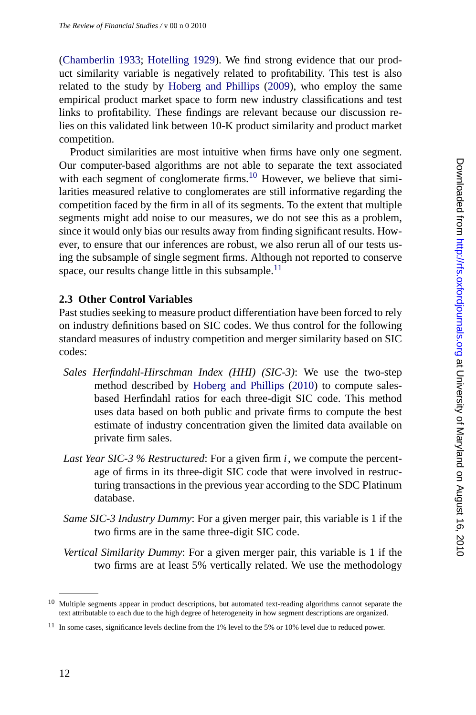(Chamberlin 1933; Hotelling 1929). We find strong evidence that our product similarity variable is negatively related to profitability. This test is also related to the study by Hoberg and Phillips (2009), who employ the same empirical product market space to form new industry classifications and test links to profitability. These findings are relevant because our discussion relies on this validated link between 10-K product similarity and product market competition.

Product similarities are most intuitive when firms have only one segment. Our computer-based algorithms are not able to separate the text associated with each segment of conglomerate firms.<sup>10</sup> However, we believe that similarities measured relative to conglomerates are still informative regarding the competition faced by the firm in all of its segments. To the extent that multiple segments might add noise to our measures, we do not see this as a problem, since it would only bias our re[sults](#page-38-0) [away](#page-38-0) [from](#page-38-0) [finding](#page-38-0) [signi](#page-38-0)ficant results. However, to ensure that our inferences are robust, we also rerun all of our tests using the subsample of single segment firms. Although not reported to conserve space, our results change little in this subsample.<sup>11</sup>

### **2.3 Other Control Variables**

Past studies seeking to measure product differentiation have been forced to rely on industry definitions based on SIC codes. We thus control for the following standard measures of industry competition and merger similarity based on SIC codes:

- *Sales Herfindahl-Hirschman Index (HHI) (SIC-3)*: We use the two-step method described by Hoberg and Phillips (2010) to compute salesbased Herfindahl ratios for each three-digit SIC code. This method uses data based on both public and private firms to compute the best estimate of industry concentration given the limited data available on private firm sales.
- *Last Year SIC-3 % Restructured*: For a given firm *i*, we compute the percentage of firms in its three-digit SIC code that were involved in restructuring transactions in the previous year according to the SDC Platinum database.
- *Same SIC-3 Industry Dummy*: For a given merger pair, this variable is 1 if the two firms are in the same three-digit SIC code.
- *Vertical Similarity Dummy*: For a given merger pair, this variable is 1 if the two firms are at least 5% vertically related. We use the methodology

<sup>10</sup> Multiple segments appear in product descriptions, but automated text-reading algorithms cannot separate the text attributable to each due to the high degree of heterogeneity in how segment descriptions are organized.

<sup>&</sup>lt;sup>11</sup> In some cases, significance levels decline from the 1% level to the 5% or 10% level due to reduced power.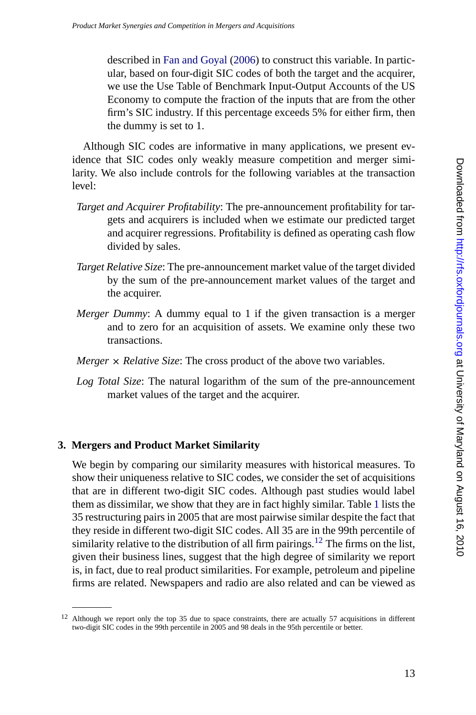described in Fan and Goyal (2006) to construct this variable. In particular, based on four-digit SIC codes of both the target and the acquirer, we use the Use Table of Benchmark Input-Output Accounts of the US Economy to compute the fraction of the inputs that are from the other firm's SIC industry. If this percentage exceeds 5% for either firm, then the dummy is set to 1.

Although SIC codes are informative in many applications, we present evidence that SIC codes only weakly measure competition and merger similarity. We also include controls for the following variables at the transaction level:

- *Target and Acquirer Profitability*: The pre-announcement profitability for targets and acquirers is included when we estimate our predicted target and acquirer regressions. Profitability is defined as operating cash flow divided by sales.
- *Target Relative Size*: The pre-announcement market value of the target divided by the sum of the pre-announcement market values of the target and the acquirer.
- *Merger Dummy*: A dummy equal to 1 if the given transaction is a merger and to zero for an acquisition of assets. We examine only these two transactions.
- *Merger* × *Relative Size*: The cross product of the above two variables.
- *Log Total Size*: The natural logarithm of the sum of the pre-announcement market values of the target and the acquirer.

## **3. Mergers and Product Market Similarity**

We begin by comparing our similarity measures with historical measures. To show their uniqueness relative to SIC codes, we consider the set of acquisitions that are in different two-digit SIC codes. Although past studies would label them as dissimilar, we show that they are in fact highly similar. Table 1 lists the 35 restructuring pairs in 2005 that are most pairwise similar despite the fact that they reside in different two-digit SIC codes. All 35 are in the 99th percentile of similarity relative to the distribution of all firm pairings.<sup>12</sup> The firms on the list, given their business lines, suggest that the high degree of similarity we report is, in fact, due to real product similarities. For example, petroleum and pipeline firms are related. Newspapers and radio are also related and can be viewed as

<sup>12</sup> Although we report only the top 35 due to space constraints, there are actually 57 acquisitions in different two-digit SIC codes in the 99th percentile in 2005 and 98 deals in the 95th percentile or better.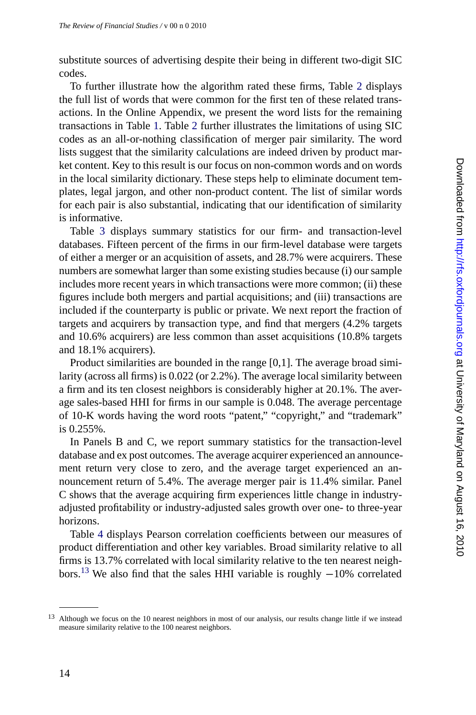substitute sources of advertising despite their being in different two-digit SIC codes.

To further illustrate how the algorithm rated these firms, Table 2 displays the full list of words that were common for the first ten of these related transactions. In the Online Appendix, we present the word lists for the remaining transactions in Table 1. Table 2 further illustrates the limitations of using SIC codes as an all-or-nothing classification of merger pair similarity. The word lists suggest that the similarity calculations are indeed driven by product market content. Key to this result is our focus on non-common words and on words in the local similarity dictionary. These steps help to eliminate document templates, legal jargon, and other non-product content. The list of similar words for each pair is also substantial, indicating that our identification of similarity is informative.

Table 3 displays summary statistics for our firm- and transaction-level databases. Fifteen percent of the firms in our firm-level database were targets of either a merger or an acquisition of assets, and 28.7% were acquirers. These numbers are somewhat larger than some existing studies because (i) our sample includes more recent years in which transactions were more common; (ii) these figures include both mergers and partial acquisitions; and (iii) transactions are included if the counterparty is public or private. We next report the fraction of targets and acquirers by transaction type, and find that mergers (4.2% targets and 10.6% acquirers) are less common than asset acquisitions (10.8% targets and 18.1% acquirers).

Product similarities are bounded in the range [0,1]. The average broad similarity (ac[ro](#page-18-0)ss all firms) is 0.022 (or 2.2%). The average local similarity between a firm and its ten closest neighbors is considerably higher at 20.1%. The average sales-based HHI for firms in our sample is 0.048. The average percentage of 10-K words having the word roots "patent," "copyright," and "trademark" is 0.255%.

In Panels B and C, we report summary statistics for the transaction-level database and ex post outcomes. The average acquirer experienced an announcement return very close to zero, and the average target experienced an announcement return of 5.4%. The average merger pair is 11.4% similar. Panel C shows that the average acquiring firm experiences little change in industryadjusted profitability or industry-adjusted sales growth over one- to three-year horizons.

Table 4 displays Pearson correlation coefficients between our measures of product differentiation and other key variables. Broad similarity relative to all firms is 13.7% correlated with local similarity relative to the ten nearest neighbors.<sup>13</sup> We also find that the sales HHI variable is roughly  $-10\%$  correlated

<sup>&</sup>lt;sup>13</sup> Although we focus on the 10 nearest neighbors in most of our analysis, our results change little if we instead measure similarity relative to the 100 nearest neighbors.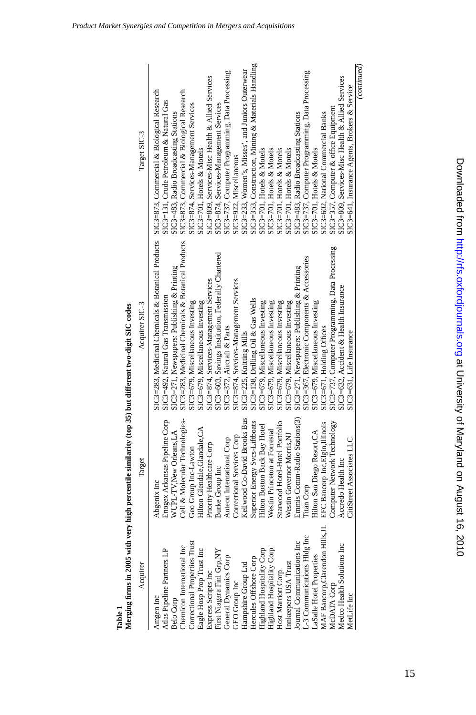| Table 1                                                                                                                                                                                                                                                                                                                                                                                                                                                                                                                                                                                                  |                                                                                                                                                                                                                                                                                                                                                                                                                                                                                                                                                                                                                                                                                          | Merging firms in 2005 with very high percentile similarity (top 35) but different two-digit SIC codes                                                                                                                                                                                                                                                                                                                                                                                                                                                                                                                                                                                                                                                                                                                                                                                                                                                           |                                                                                                                                                                                                                                                                                                                                                                                                                                                                                                                                                                                                                                                                                                                                                                                                                                                                                                                                                                                              |
|----------------------------------------------------------------------------------------------------------------------------------------------------------------------------------------------------------------------------------------------------------------------------------------------------------------------------------------------------------------------------------------------------------------------------------------------------------------------------------------------------------------------------------------------------------------------------------------------------------|------------------------------------------------------------------------------------------------------------------------------------------------------------------------------------------------------------------------------------------------------------------------------------------------------------------------------------------------------------------------------------------------------------------------------------------------------------------------------------------------------------------------------------------------------------------------------------------------------------------------------------------------------------------------------------------|-----------------------------------------------------------------------------------------------------------------------------------------------------------------------------------------------------------------------------------------------------------------------------------------------------------------------------------------------------------------------------------------------------------------------------------------------------------------------------------------------------------------------------------------------------------------------------------------------------------------------------------------------------------------------------------------------------------------------------------------------------------------------------------------------------------------------------------------------------------------------------------------------------------------------------------------------------------------|----------------------------------------------------------------------------------------------------------------------------------------------------------------------------------------------------------------------------------------------------------------------------------------------------------------------------------------------------------------------------------------------------------------------------------------------------------------------------------------------------------------------------------------------------------------------------------------------------------------------------------------------------------------------------------------------------------------------------------------------------------------------------------------------------------------------------------------------------------------------------------------------------------------------------------------------------------------------------------------------|
| Acquirer                                                                                                                                                                                                                                                                                                                                                                                                                                                                                                                                                                                                 | Target                                                                                                                                                                                                                                                                                                                                                                                                                                                                                                                                                                                                                                                                                   | Acquirer SIC-3                                                                                                                                                                                                                                                                                                                                                                                                                                                                                                                                                                                                                                                                                                                                                                                                                                                                                                                                                  | Target SIC-3                                                                                                                                                                                                                                                                                                                                                                                                                                                                                                                                                                                                                                                                                                                                                                                                                                                                                                                                                                                 |
| MAF Bancorp, Clarendon Hills, JL<br>L-3 Communications HIdg Inc<br>Journal Communications Inc<br>Correctional Properties Trust<br>Medco Health Solutions Inc<br>Chemicon International Inc<br>Eagle Hosp Prop Trust Inc<br>Highland Hospitality Corp<br>Highland Hospitality Corp<br>Atlas Pipeline Partners LP<br>First Niagara Finl Grp, NY<br>LaSalle Hotel Properties<br>General Dynamics Corp<br>Hercules Offshore Corp<br>Innkeepers USA Trust<br>Hampshire Group Ltd<br>Express Scripts Inc<br>Host Marriott Corp<br>GEO Group Inc<br>McDATA Corp<br>MetLife Inc<br>Amgen Inc<br><b>Belo Corp</b> | Emmis Comm-Radio Stations(3)<br>Kellwood Co-David Brooks Bus<br>Cell & Molecular Technologies-<br>Enogex Arkansas Pipeline Corp<br>Superior Energy Svcs-Liftboats<br>Starwood Hotel-Hotel Portfolio<br>EFC Bancorp Inc, Elgin, Illinois<br>Computer Network Technology<br>Hilton Boston Back Bay Hotel<br>Hilton Glendale, Glandale, CA<br>Westin Princeton at Forrestal<br>WUPL-TV,New Orleans,LA<br>Hilton San Diego Resort, CA<br>Westin Governor Morris, NJ<br>Correctional Services Corp<br>CitiStreet Associates LLC<br>Anteon International Corp<br>Priority Healthcare Corp<br>Geo Group Inc-Lawton<br>Accredo Health Inc<br><b>Burke Group Inc</b><br>Abgenix Inc<br>Titan Corp | SIC3=283, Medicinal Chemicals & Botanical Products<br>SIC3=283, Medicinal Chemicals & Botanical Products<br>SIC3=737, Computer Programming, Data Processing<br>SIC3=603, Savings Institution, Federally Chartered<br>SIC3=367, Electronic Components & Accessories<br>SIC3=271, Newspapers: Publishing & Printing<br>SIC3=271, Newspapers: Publishing & Printing<br>SIC3=874, Services-Management Services<br>SIC3=874, Services-Management Services<br>SIC3=632, Accident & Health Insurance<br>SIC3=492, Natural Gas Transmission<br>SIC3=138, Drilling Oil & Gas Wells<br>SIC3=679, Miscellaneous Investing<br>SIC3=679, Miscellaneous Investing<br>SIC3=679, Miscellaneous Investing<br>SIC3=679, Miscellaneous Investing<br>SIC3=679, Miscellaneous Investing<br>SIC3=679, Miscellaneous Investing<br>SIC3=679, Miscellaneous Investing<br>SIC3=372, Aircraft & Parts<br>SIC3=671, Holding Offices<br>SIC3=225, Knitting Mills<br>SIC3=631, Life Insurance | SIC3=353, Construction, Mining & Materials Handling<br>(continued)<br>SIC3=233, Women's, Misses', and Juniors Outerwear<br>SIC3=737, Computer Programming, Data Processing<br>SIC3=737, Computer Programming, Data Processing<br>SIC3=809, Services-Misc Health & Allied Services<br>SIC3=809, Services-Misc Health & Allied Services<br>SIC3=641, Insurance Agents, Brokers & Service<br>SIC3=873, Commercial & Biological Research<br>SIC3=873, Commercial & Biological Research<br>SIC3=131, Crude Petroleum & Natural Gas<br>SIC3=874, Services-Management Services<br>SIC3=874, Services-Management Services<br>SIC3=357, Computer & office Equipment<br>SIC3=483, Radio Broadcasting Stations<br>SIC3=602, National Commercial Banks<br>SIC3=483, Radio Broadcasting Stations<br>SIC3=701, Hotels & Motels<br>SIC3=701, Hotels & Motels<br>SIC3=701, Hotels & Motels<br>SIC3=701, Hotels & Motels<br>SIC3=701, Hotels & Motels<br>SIC3=701, Hotels & Motels<br>SIC3=922, Miscellaneous |
|                                                                                                                                                                                                                                                                                                                                                                                                                                                                                                                                                                                                          |                                                                                                                                                                                                                                                                                                                                                                                                                                                                                                                                                                                                                                                                                          |                                                                                                                                                                                                                                                                                                                                                                                                                                                                                                                                                                                                                                                                                                                                                                                                                                                                                                                                                                 |                                                                                                                                                                                                                                                                                                                                                                                                                                                                                                                                                                                                                                                                                                                                                                                                                                                                                                                                                                                              |

Downloaded from http://rfs.oxfordjournals.org at University of Maryland on August 16, 2010 at University of Maryland on August 16, 2010 http://rfs.oxfordjournals.org [Download](http://rfs.oxfordjournals.org)ed from

## *Product Market Synergies and Competition in Mergers and Acquisitions*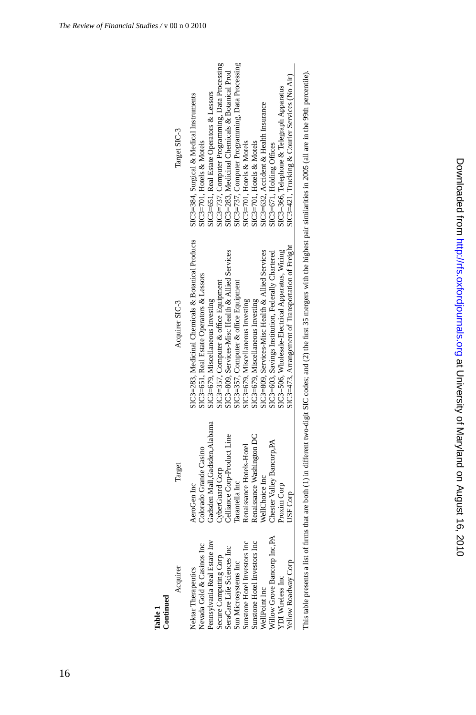${\bf Table ~1} \atop {\bf Contmued}$ 

| Continued<br>Table 1         |                              |                                                                    |                                                                                                      |
|------------------------------|------------------------------|--------------------------------------------------------------------|------------------------------------------------------------------------------------------------------|
| Acquirer                     | Target                       | Acquirer SIC-3                                                     | Target SIC-3                                                                                         |
| Nektar Therapeutics          | AeroGen Inc                  | SIC3=283. Medicinal Chemicals & Botanical Products                 | SIC3=384, Surgical & Medical Instruments                                                             |
| Nevada Gold & Casinos Inc    | Colorado Grande Casino       | SIC3=651, Real Estate Operators & Lessors                          | $SIC3 = 701$ . Hotels & Motels                                                                       |
| Pennsylvania Real Estate Inv | Gadsden Mall,Gadsden,Alabama | SIC3=679, Miscellaneous Investing                                  | SIC3=651, Real Estate Operators & Lessors                                                            |
| Secure Computing Corp        | CyberGuard Corp              | SIC3=357, Computer & office Equipment                              | SIC3=737, Computer Programming, Data Processing                                                      |
| SeraCare Life Sciences Inc   | Celliance Corp-Product Line  | SIC3=809, Services-Misc Health & Allied Services                   | SIC3=283, Medicinal Chemicals & Botanical Prod                                                       |
| Sun Microsystems Inc         | Tarantella Inc               | SIC3=357, Computer & office Equipment                              | SIC3=737, Computer Programming, Data Processing                                                      |
| Sunstone Hotel Investors Inc | Renaissance Hotels-Hotel     | SIC3=679, Miscellaneous Investing                                  | $SIC3=701$ , Hotels & Motels                                                                         |
| Sunstone Hotel Investors Inc | Renaissance Washington DC    | SIC3=679, Miscellaneous Investing                                  | SIC3=701, Hotels & Motels                                                                            |
| WellPoint Inc                | WellChoice Inc               | SIC3=809, Services-Misc Health & Allied Services                   | SIC3=632, Accident & Health Insurance                                                                |
| Willow Grove Bancorp Inc.PA  | Chester Valley Bancorp,PA    | SIC3=603, Savings Institution, Federally Chartered                 | SIC3=671, Holding Offices                                                                            |
| <b>YDI</b> Wireless Inc      | Proxim Corp                  | SIC3=506, Wholesale-Electrical Apparatus, Wiring                   | SIC3=366, Telephone & Telegraph Apparatus                                                            |
| Yellow Roadway Corp          | USF Corp                     | SIC3=473, Arrangement of Transportation of Freight                 | SIC3=421, Trucking & Courier Services (No Air)                                                       |
| $\ddot{\phantom{a}}$         | はんじょう こうしょう こうしょう こうしょう      | $\begin{array}{c} \n\cdot \\ \cdot \\ \cdot \\ \cdot\n\end{array}$ | "我们是不是一个人的事,我们的人的人,我们也不是一个人的人,我们也不是一个人的人,我们也不是一个人的人,我们也不是一个人的人,我们也不是一个人的人,我们也不是一个人的人,我们也不是一个人的人,我们也不 |

This table presents a list of firms that are both (1) in different two-digit SIC codes; and (2) the first 35 mergers with the highest pair similarities in 2005 (all are in the 99th percentile). This table presents a list of firms that are both (1) in different two-digit SIC codes; and (2) the first 35 mergers with the highest pair similarities in 2005 (all are in the 99th percentile).

Downloaded from http://rfs.oxfordjournals.org at University of Maryland on August 16, 2010 at University of Maryland on August 16, 2010 http://rfs.oxfordjournals.org [Download](http://rfs.oxfordjournals.org)ed from

### *The Review of Financial Studies /* v 00 n 0 2010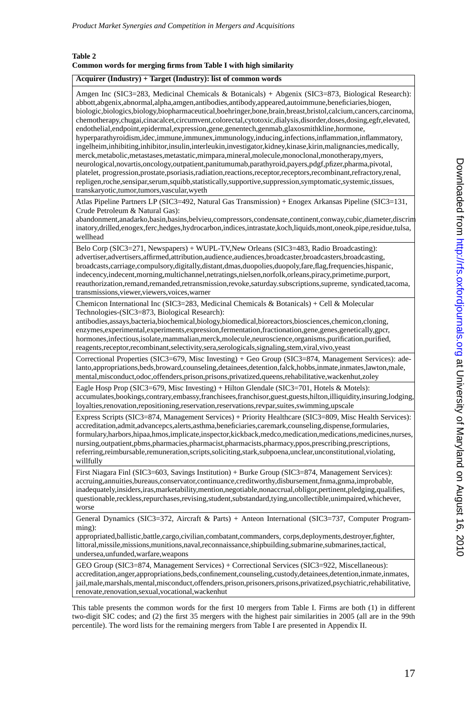### <span id="page-16-0"></span>**Table 2**

# **Common words for merging firms from Table I with high similarity**

| Acquirer (Industry) + Target (Industry): list of common words                                                                                                                                                                                                                                                                                                                                                                                                                                                                                                                                                                                                                                                                                                                                                                                                                                                                                                                                                                                                                                                                                                                                                                                                                                   |
|-------------------------------------------------------------------------------------------------------------------------------------------------------------------------------------------------------------------------------------------------------------------------------------------------------------------------------------------------------------------------------------------------------------------------------------------------------------------------------------------------------------------------------------------------------------------------------------------------------------------------------------------------------------------------------------------------------------------------------------------------------------------------------------------------------------------------------------------------------------------------------------------------------------------------------------------------------------------------------------------------------------------------------------------------------------------------------------------------------------------------------------------------------------------------------------------------------------------------------------------------------------------------------------------------|
| Amgen Inc (SIC3=283, Medicinal Chemicals & Botanicals) + Abgenix (SIC3=873, Biological Research):<br>abbott, abgenix, abnormal, alpha, amgen, antibodies, antibody, appeared, autoimmune, beneficiaries, biogen,<br>biologic,biologics,biology,biopharmaceutical,boehringer,bone,brain,breast,bristol,calcium,cancers,carcinoma,<br>chemotherapy,chugai,cinacalcet,circumvent,colorectal,cytotoxic,dialysis,disorder,doses,dosing,egfr,elevated,<br>endothelial, endpoint, epidermal, expression, gene, genentech, genmab, glaxosmithkline, hormone,<br>hyperparathyroidism,idec,immune,immunex,immunology,inducing,infections,inflammation,inflammatory,<br>ingelheim, inhibiting, inhibitor, insulin, interleukin, investigator, kidney, kinase, kirin, malignancies, medically,<br>merck, metabolic, metastases, metastatic, mimpara, mineral, molecule, monoclonal, monotherapy, myers,<br>neurological, novartis, oncology, outpatient, panitumumab, parathyroid, payers, pdgf, pfizer, pharma, pivotal,<br>platelet, progression, prostate, psoriasis, radiation, reactions, receptor, receptors, recombinant, refractory, renal,<br>repligen,roche,sensipar,serum,squibb,statistically,supportive,suppression,symptomatic,systemic,tissues,<br>transkaryotic,tumor,tumors,vascular,wyeth |
| Atlas Pipeline Partners LP (SIC3=492, Natural Gas Transmission) + Enogex Arkansas Pipeline (SIC3=131,<br>Crude Petroleum & Natural Gas):<br>abandonment,anadarko,basin,basins,belvieu,compressors,condensate,continent,conway,cubic,diameter,discrim<br>inatory,drilled,enogex,ferc,hedges,hydrocarbon,indices,intrastate,koch,liquids,mont,oneok,pipe,residue,tulsa,<br>wellhead                                                                                                                                                                                                                                                                                                                                                                                                                                                                                                                                                                                                                                                                                                                                                                                                                                                                                                               |
| Belo Corp (SIC3=271, Newspapers) + WUPL-TV, New Orleans (SIC3=483, Radio Broadcasting):<br>advertiser, advertisers, affirmed, attribution, audience, audiences, broadcaster, broadcasters, broadcasting,<br>broadcasts, carriage, compulsory, digitally, distant, dmas, duopolies, duopoly, fare, flag, frequencies, hispanic,<br>indecency,indecent,morning,multichannel,netratings,nielsen,norfolk,orleans,piracy,primetime,purport,<br>reauthorization, remand, remanded, retransmission, revoke, saturday. subscriptions, supreme, syndicated, tacoma,<br>transmissions, viewer, viewers, voices, warner                                                                                                                                                                                                                                                                                                                                                                                                                                                                                                                                                                                                                                                                                    |
| Chemicon International Inc (SIC3=283, Medicinal Chemicals & Botanicals) + Cell & Molecular<br>Technologies-(SIC3=873, Biological Research):<br>antibodies, assays, bacteria, biochemical, biology, biomedical, bioreactors, biosciences, chemicon, cloning,<br>enzymes, experimental, experiments, expression, fermentation, fractionation, gene, genes, genetically, gpcr,<br>hormones, infectious, isolate, mammalian, merck, molecule, neuroscience, organisms, purification, purified,<br>reagents,receptor,recombinant,selectivity,sera,serologicals,signaling,stem,viral,vivo,yeast                                                                                                                                                                                                                                                                                                                                                                                                                                                                                                                                                                                                                                                                                                       |
| Correctional Properties (SIC3=679, Misc Investing) + Geo Group (SIC3=874, Management Services): ade-<br>lanto,appropriations,beds,broward,counseling,detainees,detention,falck,hobbs,inmate,inmates,lawton,male,<br>mental, misconduct, odoc, offenders, prison, prisons, privatized, queens, rehabilitative, wackenhut, zoley                                                                                                                                                                                                                                                                                                                                                                                                                                                                                                                                                                                                                                                                                                                                                                                                                                                                                                                                                                  |
| Eagle Hosp Prop (SIC3=679, Misc Investing) + Hilton Glendale (SIC3=701, Hotels & Motels):<br>accumulates, bookings, contrary, embassy, franchisees, franchisor, guest, guests, hilton, illiquidity, insuring, lodging,<br>loyalties, renovation, repositioning, reservation, reservations, revpar, suites, swimming, upscale                                                                                                                                                                                                                                                                                                                                                                                                                                                                                                                                                                                                                                                                                                                                                                                                                                                                                                                                                                    |
| Express Scripts (SIC3=874, Management Services) + Priority Healthcare (SIC3=809, Misc Health Services):<br>accreditation, admit, advancepcs, alerts, asthma, beneficiaries, caremark, counseling, dispense, formularies,<br>formulary, harbors, hipaa, hmos, implicate, inspector, kickback, medco, medication, medications, medicines, nurses,<br>nursing, outpatient, pbms, pharmacies, pharmacist, pharmacists, pharmacy, ppos, prescribing, prescriptions,<br>referring,reimbursable,remuneration,scripts,soliciting,stark,subpoena,unclear,unconstitutional,violating,<br>willfully                                                                                                                                                                                                                                                                                                                                                                                                                                                                                                                                                                                                                                                                                                        |
| First Niagara Finl (SIC3=603, Savings Institution) + Burke Group (SIC3=874, Management Services):<br>accruing, annuities, bureaus, conservator, continuance, creditworthy, disbursement, finma, gnma, improbable,<br>inadequately,insiders,iras,marketability,mention,negotiable,nonaccrual,obligor,pertinent,pledging,qualifies,<br>questionable,reckless,repurchases,revising,student,substandard,tying,uncollectible,unimpaired,whichever,<br>worse                                                                                                                                                                                                                                                                                                                                                                                                                                                                                                                                                                                                                                                                                                                                                                                                                                          |
| General Dynamics (SIC3=372, Aircraft & Parts) + Anteon International (SIC3=737, Computer Program-<br>$ming$ ):<br>appropriated,ballistic,battle,cargo,civilian,combatant,commanders, corps,deployments,destroyer,fighter,<br>littoral, missile, missions, munitions, naval, reconnaissance, shipbuilding, submarine, submarines, tactical,<br>undersea, unfunded, warfare, weapons                                                                                                                                                                                                                                                                                                                                                                                                                                                                                                                                                                                                                                                                                                                                                                                                                                                                                                              |
| GEO Group (SIC3=874, Management Services) + Correctional Services (SIC3=922, Miscellaneous):<br>accreditation, anger, appropriations, beds, confinement, counseling, custody, detainees, detention, inmate, inmates,<br>jail, male, marshals, mental, misconduct, offenders, prison, prisoners, prisons, privatized, psychiatric, rehabilitative,<br>renovate, renovation, sexual, vocational, wackenhut                                                                                                                                                                                                                                                                                                                                                                                                                                                                                                                                                                                                                                                                                                                                                                                                                                                                                        |

This table presents the common words for the first 10 mergers from Table I. Firms are both (1) in different two-digit SIC codes; and (2) the first 35 mergers with the highest pair similarities in 2005 (all are in the 99th percentile). The word lists for the remaining mergers from Table I are presented in Appendix II.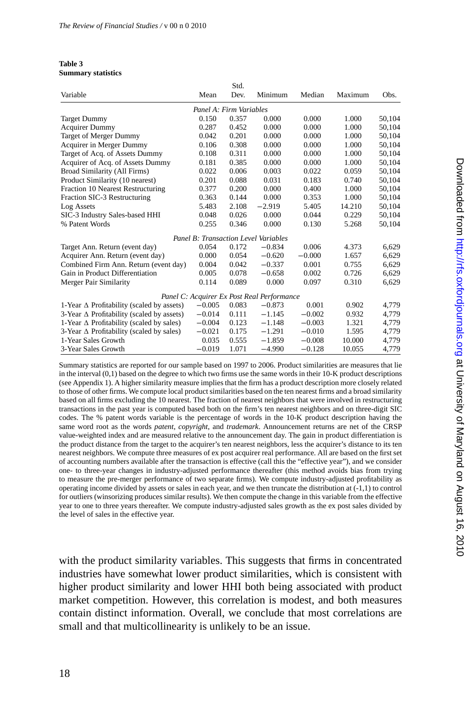### **Table 3 Summary statistics**

|                                                     |                         | Std.  |                                            |          |         |        |
|-----------------------------------------------------|-------------------------|-------|--------------------------------------------|----------|---------|--------|
| Variable                                            | Mean                    | Dev.  | Minimum                                    | Median   | Maximum | Obs.   |
|                                                     | Panel A: Firm Variables |       |                                            |          |         |        |
| <b>Target Dummy</b>                                 | 0.150                   | 0.357 | 0.000                                      | 0.000    | 1.000   | 50.104 |
| <b>Acquirer Dummy</b>                               | 0.287                   | 0.452 | 0.000                                      | 0.000    | 1.000   | 50.104 |
| <b>Target of Merger Dummy</b>                       | 0.042                   | 0.201 | 0.000                                      | 0.000    | 1.000   | 50,104 |
| Acquirer in Merger Dummy                            | 0.106                   | 0.308 | 0.000                                      | 0.000    | 1.000   | 50,104 |
| Target of Acq. of Assets Dummy                      | 0.108                   | 0.311 | 0.000                                      | 0.000    | 1.000   | 50.104 |
| Acquirer of Acq. of Assets Dummy                    | 0.181                   | 0.385 | 0.000                                      | 0.000    | 1.000   | 50.104 |
| Broad Similarity (All Firms)                        | 0.022                   | 0.006 | 0.003                                      | 0.022    | 0.059   | 50.104 |
| Product Similarity (10 nearest)                     | 0.201                   | 0.088 | 0.031                                      | 0.183    | 0.740   | 50,104 |
| Fraction 10 Nearest Restructuring                   | 0.377                   | 0.200 | 0.000                                      | 0.400    | 1.000   | 50.104 |
| Fraction SIC-3 Restructuring                        | 0.363                   | 0.144 | 0.000                                      | 0.353    | 1.000   | 50,104 |
| Log Assets                                          | 5.483                   | 2.108 | $-2.919$                                   | 5.405    | 14.210  | 50.104 |
| SIC-3 Industry Sales-based HHI                      | 0.048                   | 0.026 | 0.000                                      | 0.044    | 0.229   | 50,104 |
| % Patent Words                                      | 0.255                   | 0.346 | 0.000                                      | 0.130    | 5.268   | 50.104 |
|                                                     |                         |       | Panel B: Transaction Level Variables       |          |         |        |
| Target Ann. Return (event day)                      | 0.054                   | 0.172 | $-0.834$                                   | 0.006    | 4.373   | 6,629  |
| Acquirer Ann. Return (event day)                    | 0.000                   | 0.054 | $-0.620$                                   | $-0.000$ | 1.657   | 6,629  |
| Combined Firm Ann. Return (event day)               | 0.004                   | 0.042 | $-0.337$                                   | 0.001    | 0.755   | 6.629  |
| Gain in Product Differentiation                     | 0.005                   | 0.078 | $-0.658$                                   | 0.002    | 0.726   | 6.629  |
| Merger Pair Similarity                              | 0.114                   | 0.089 | 0.000                                      | 0.097    | 0.310   | 6,629  |
|                                                     |                         |       | Panel C: Acquirer Ex Post Real Performance |          |         |        |
| 1-Year $\Delta$ Profitability (scaled by assets)    | $-0.005$                | 0.083 | $-0.873$                                   | 0.001    | 0.902   | 4,779  |
| 3-Year $\triangle$ Profitability (scaled by assets) | $-0.014$                | 0.111 | $-1.145$                                   | $-0.002$ | 0.932   | 4,779  |
| 1-Year $\Delta$ Profitability (scaled by sales)     | $-0.004$                | 0.123 | $-1.148$                                   | $-0.003$ | 1.321   | 4.779  |
| 3-Year $\Delta$ Profitability (scaled by sales)     | $-0.021$                | 0.175 | $-1.291$                                   | $-0.010$ | 1.595   | 4.779  |
| 1-Year Sales Growth                                 | 0.035                   | 0.555 | $-1.859$                                   | $-0.008$ | 10.000  | 4,779  |
| 3-Year Sales Growth                                 | $-0.019$                | 1.071 | $-4.990$                                   | $-0.128$ | 10.055  | 4,779  |

Summary statistics are reported for our sample based on 1997 to 2006. Product similarities are measures that lie in the interval (0,1) based on the degree to which two firms use the same words in their 10-K product descriptions (see Appendix 1). A higher similarity measure implies that the firm has a product description more closely related to those of other firms. We compute local product similarities based on the ten nearest firms and a broad similarity based on all firms excluding the 10 nearest. The fraction of nearest neighbors that were involved in restructuring transactions in the past year is computed based both on the firm's ten nearest neighbors and on three-digit SIC codes. The % patent words variable is the percentage of words in the 10-K product description having the same word root as the words *patent*, *copyright*, and *trademark*. Announcement returns are net of the CRSP value-weighted index and are measured relative to the announcement day. The gain in product differentiation is the product distance from the target to the acquirer's ten nearest neighbors, less the acquirer's distance to its ten nearest neighbors. We compute three measures of ex post acquirer real performance. All are based on the first set of accounting numbers available after the transaction is effective (call this the "effective year"), and we consider one- to three-year changes in industry-adjusted performance thereafter (this method avoids bias from trying to measure the pre-merger performance of two separate firms). We compute industry-adjusted profitability as operating income divided by assets or sales in each year, and we then truncate the distribution at (-1,1) to control for outliers (winsorizing produces similar results). We then compute the change in this variable from the effective year to one to three years thereafter. We compute industry-adjusted sales growth as the ex post sales divided by the level of sales in the effective year.

with the product similarity variables. This suggests that firms in concentrated industries have somewhat lower product similarities, which is consistent with higher product similarity and lower HHI both being associated with product market competition. However, this correlation is modest, and both measures contain distinct information. Overall, we conclude that most correlations are small and that multicollinearity is unlikely to be an issue.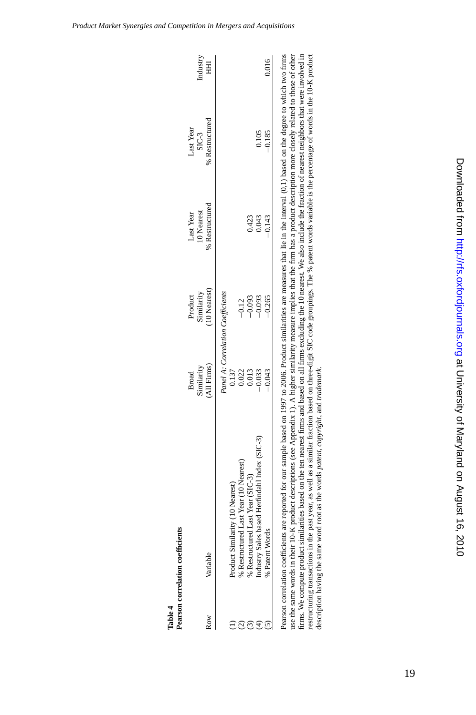|               |                                               | Broad       | Product                           | Last Year      | Last Year      |          |
|---------------|-----------------------------------------------|-------------|-----------------------------------|----------------|----------------|----------|
|               |                                               | Similarity  | Similarity                        | 10 Nearest     | $SIC-3$        | Industry |
| Row           | Variable                                      | (All Firms) | 10 Nearest)                       | % Restructured | % Restructured | HH       |
|               |                                               |             | Panel A: Correlation Coefficients |                |                |          |
|               | Product Similarity (10 Nearest)               | 0.137       |                                   |                |                |          |
| $\widehat{c}$ | % Restructured Last Year (10 Nearest)         | 0.22        | $-0.12$                           |                |                |          |
| $\odot$       | % Restructured Last Year (SIC-3)              | 0.013       | $-0.093$                          | 0.423          |                |          |
| ₹             | Industry Sales based Herfindahl Index (SIC-3) | 0.033       | $-0.093$                          | 0.043          | 0.105          |          |
| $\widehat{c}$ | % Patent Words                                | 0.043       | $-0.265$                          | 0.143          | $-0.185$       | 0.016    |

firms. We compute product similarities based on the ten nearest firms and based on all firms excluding the 10 nearest. We also include the fraction of nearest neighbors that were involved in<br>restructuring transactions in t firms. We compute product similarities based on the ten nearest firms and based on all firms excluding the 10 nearest. We also include the fraction of nearest neighbors that were involved in restructuring transactions in the past year, as well as a similar fraction based on three-digit SIC code groupings. The % patent words variable is the percentage of words in the 10-K product description having the same word root as the words *patent*, *copyright*, and *trademark*.

Downloaded from http://rfs.oxfordjournals.org at University of Maryland on August 16, 2010 at University of Maryland on August 16, 2010 http://rfs.oxfordjournals.org [Download](http://rfs.oxfordjournals.org)ed from

<span id="page-18-0"></span>*Product Market Synergies and Competition in Mergers and Acquisitions*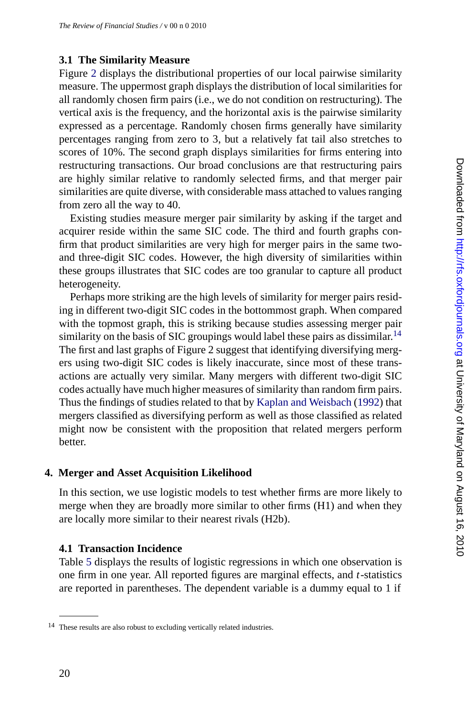### **3.1 The Similarity Measure**

Figure 2 displays the distributional properties of our local pairwise similarity measure. The uppermost graph displays the distribution of local similarities for all randomly chosen firm pairs (i.e., we do not condition on restructuring). The vertical axis is the frequency, and the horizontal axis is the pairwise similarity expressed as a percentage. Randomly chosen firms generally have similarity percentages ranging from zero to 3, but a relatively fat tail also stretches to scores of 10%. The second graph displays similarities for firms entering into restructuring transactions. Our broad conclusions are that restructuring pairs are highly similar relative to randomly selected firms, and that merger pair similarities are quite diverse, with considerable mass attached to values ranging from zero all the way to 40.

Existing studies measure merger pair similarity by asking if the target and acquirer reside within the same SIC code. The third and fourth graphs confirm that product similarities are very high f[or merger pairs in the](#page-38-0) [same](#page-38-0) twoand three-digit SIC codes. However, the high diversity of similarities within these groups illustrates that SIC codes are too granular to capture all product heterogeneity.

Perhaps more striking are the high levels of similarity for merger pairs residing in different two-digit SIC codes in the bottommost graph. When compared with the topmost graph, this is striking because studies assessing merger pair similarity on the basis of SIC groupings would label these pairs as dissimilar.<sup>14</sup> The first and last graphs of Figure 2 suggest that identifying diversifying mergers using two-digit SIC codes is likely inaccurate, since most of these transactions are actually very similar. Many mergers with different two-digit SIC codes actually have much higher measures of similarity than random firm pairs. Thus [th](#page-21-0)e findings of studies related to that by Kaplan and Weisbach (1992) that mergers classified as diversifying perform as well as those classified as related might now be consistent with the proposition that related mergers perform better.

## **4. Merger and Asset Acquisition Likelihood**

In this section, we use logistic models to test whether firms are more likely to merge when they are broadly more similar to other firms (H1) and when they are locally more similar to their nearest rivals (H2b).

# **4.1 Transaction Incidence**

Table 5 displays the results of logistic regressions in which one observation is one firm in one year. All reported figures are marginal effects, and *t*-statistics are reported in parentheses. The dependent variable is a dummy equal to 1 if

<sup>14</sup> These results are also robust to excluding vertically related industries.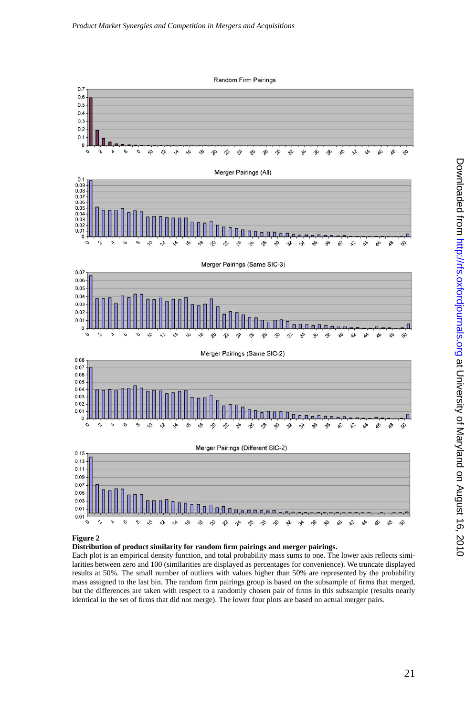



# Downloaded from http://rfs.oxfordjournals.org at University of Maryland on August 16, 2010 at University of Maryland on August 16, 2010 http://rfs.oxfordjournals.org [Download](http://rfs.oxfordjournals.org)ed from

### **Figure 2**

**Distribution of product similarity for random firm pairings and merger pairings.**

Each plot is an empirical density function, and total probability mass sums to one. The lower axis reflects similarities between zero and 100 (similarities are displayed as percentages for convenience). We truncate displayed results at 50%. The small number of outliers with values higher than 50% are represented by the probability mass assigned to the last bin. The random firm pairings group is based on the subsample of firms that merged, but the differences are taken with respect to a randomly chosen pair of firms in this subsample (results nearly identical in the set of firms that did not merge). The lower four plots are based on actual merger pairs.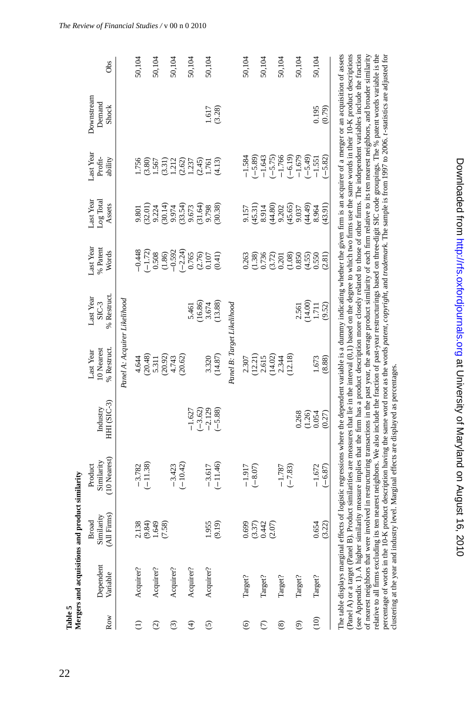| Table 5                  |                             | Mergers and acquisitions and product similarity  |                                                                                                                                                                  |                                                |                                                                                     |                                                          |                                                                                                                                                                                                                                                 |                                                                                                                                                    |                                                                                                    |                               |        |
|--------------------------|-----------------------------|--------------------------------------------------|------------------------------------------------------------------------------------------------------------------------------------------------------------------|------------------------------------------------|-------------------------------------------------------------------------------------|----------------------------------------------------------|-------------------------------------------------------------------------------------------------------------------------------------------------------------------------------------------------------------------------------------------------|----------------------------------------------------------------------------------------------------------------------------------------------------|----------------------------------------------------------------------------------------------------|-------------------------------|--------|
| Row                      | Dependent<br>Variable       | All Firms)<br>Similarity<br><b>Broad</b>         | (10 Nearest)<br>Similarity<br>Product                                                                                                                            | HHI (SIC-3)<br>Industry                        | % Restruct<br>10 Nearest<br>Last Year                                               | % Restruct<br>Last Year<br>$SIC-3$                       | Last Year $% \mathbb{R}$ Year $\%$ Patent<br>Words                                                                                                                                                                                              | Last Year<br>Log Total<br>Assets                                                                                                                   | Last Year<br>Profit-<br>ability                                                                    | Downstream<br>Demand<br>Shock | Obs    |
|                          |                             |                                                  |                                                                                                                                                                  |                                                | Panel A: Acquirer Likelihooa                                                        |                                                          |                                                                                                                                                                                                                                                 |                                                                                                                                                    |                                                                                                    |                               |        |
|                          | Acquirer?                   |                                                  | $-3.782$<br>$(-11.38)$                                                                                                                                           |                                                |                                                                                     |                                                          |                                                                                                                                                                                                                                                 | 9.801                                                                                                                                              |                                                                                                    |                               | 50,104 |
|                          |                             | 2.138<br>(9.84)<br>1.649                         |                                                                                                                                                                  |                                                |                                                                                     |                                                          |                                                                                                                                                                                                                                                 |                                                                                                                                                    |                                                                                                    |                               |        |
| $\widehat{\infty}$       | Acquirer?                   | 7.58)                                            |                                                                                                                                                                  |                                                | $\begin{array}{c} 4.644 \\ 20.48 \\ 5.311 \\ 6.921 \\ 7.43 \\ 0.043 \\ \end{array}$ |                                                          | $-0.448$<br>$-1.72$<br>$-1.72$<br>$-1.72$<br>$-1.72$<br>$-1.72$<br>$-1.72$<br>$-1.72$<br>$-1.72$<br>$-1.72$<br>$-1.72$<br>$-1.72$<br>$-1.72$<br>$-1.72$<br>$-1.72$<br>$-1.72$<br>$-1.72$<br>$-1.72$<br>$-1.72$<br>$-1.72$<br>$-1.72$<br>$-1.72$ | $\begin{smallmatrix} (32.01)\\ (32.24)\\ (30.14)\\ (39.34)\\ (39.34)\\ (30.35)\\ (30.36)\\ (31.64)\\ (31.64)\\ (31.65)\\ (30.38)\end{smallmatrix}$ | $\begin{array}{l} 1.756 \\ (3.80) \\ 1.567 \\ (3.31) \\ (1.212 \\ (2.62) \\ (2.63) \\ \end{array}$ |                               | 50,104 |
| $\widehat{\odot}$        | Acquirer?                   |                                                  |                                                                                                                                                                  |                                                |                                                                                     |                                                          |                                                                                                                                                                                                                                                 |                                                                                                                                                    |                                                                                                    |                               | 50,104 |
|                          |                             |                                                  | $-3.423$<br>$(-10.42)$                                                                                                                                           |                                                |                                                                                     |                                                          |                                                                                                                                                                                                                                                 |                                                                                                                                                    |                                                                                                    |                               |        |
| $\widehat{f}$            | Acquirer?                   |                                                  |                                                                                                                                                                  |                                                |                                                                                     | 5.461                                                    |                                                                                                                                                                                                                                                 |                                                                                                                                                    |                                                                                                    |                               | 50,104 |
|                          |                             |                                                  |                                                                                                                                                                  |                                                |                                                                                     | $(16.86)$<br>$3.674$                                     |                                                                                                                                                                                                                                                 |                                                                                                                                                    |                                                                                                    |                               |        |
| $\widehat{c}$            | Acquirer?                   | 1.955                                            | $-3.617$<br>$(-11.46)$                                                                                                                                           | $-1.627$<br>$(-3.62)$<br>$-2.129$<br>$(-5.88)$ | 3.320                                                                               |                                                          |                                                                                                                                                                                                                                                 |                                                                                                                                                    | $(2.45)$<br>1.761                                                                                  | $1.617$<br>$(3.28)$           | 50,104 |
|                          |                             | (9.19)                                           |                                                                                                                                                                  |                                                | (14.87)                                                                             | (13.88)                                                  |                                                                                                                                                                                                                                                 |                                                                                                                                                    | (4.13)                                                                                             |                               |        |
|                          |                             |                                                  |                                                                                                                                                                  |                                                | Panel B: Target Likelihood                                                          |                                                          |                                                                                                                                                                                                                                                 |                                                                                                                                                    |                                                                                                    |                               |        |
| $\widehat{\circ}$        | Target?                     | 0.699                                            | $-1.917$<br>$(-8.07)$                                                                                                                                            |                                                | 2.307                                                                               |                                                          |                                                                                                                                                                                                                                                 |                                                                                                                                                    |                                                                                                    |                               | 50,104 |
|                          |                             | $(3.37)$<br>$0.442$                              |                                                                                                                                                                  |                                                |                                                                                     |                                                          |                                                                                                                                                                                                                                                 |                                                                                                                                                    |                                                                                                    |                               |        |
| $\widehat{c}$            | Target?                     |                                                  |                                                                                                                                                                  |                                                | $\begin{array}{l} (12.21) \\ 2.615 \\ 2.614 \\ 1.34 \\ 2.34 \\ 1.8 \end{array}$     |                                                          | 0.263<br>C.38)<br>C.372)<br>C.372)<br>C.350<br>C.350<br>C.350<br>C.350                                                                                                                                                                          | 9.157<br>(45.31)<br>(45.80)<br>(45.65)<br>(45.65)<br>(44.49)<br>(44.49)                                                                            | $-1.584$<br>$(-5.89)$<br>$-1.643$<br>$(-5.75)$<br>$-1.766$<br>$-1.669$<br>$-1.679$<br>$-1.551$     |                               | 50,104 |
|                          |                             | (2.07)                                           |                                                                                                                                                                  |                                                |                                                                                     |                                                          |                                                                                                                                                                                                                                                 |                                                                                                                                                    |                                                                                                    |                               |        |
| $\circledast$            | Target?                     |                                                  | $-1.787$<br>$(85,1)$                                                                                                                                             |                                                |                                                                                     |                                                          |                                                                                                                                                                                                                                                 |                                                                                                                                                    |                                                                                                    |                               | 50,104 |
|                          |                             |                                                  |                                                                                                                                                                  |                                                |                                                                                     |                                                          |                                                                                                                                                                                                                                                 |                                                                                                                                                    |                                                                                                    |                               |        |
| $\widehat{\mathfrak{G}}$ | Target?                     |                                                  |                                                                                                                                                                  | 0.268<br>(1.26)<br>0.054                       |                                                                                     | $\begin{array}{c} 2.561 \\ (14.00) \\ 1.711 \end{array}$ |                                                                                                                                                                                                                                                 |                                                                                                                                                    |                                                                                                    |                               | 50,104 |
|                          |                             |                                                  |                                                                                                                                                                  |                                                |                                                                                     |                                                          |                                                                                                                                                                                                                                                 |                                                                                                                                                    |                                                                                                    |                               |        |
| (10)                     | Target?                     | 0.654                                            | $-1.672$                                                                                                                                                         |                                                | 1.673                                                                               |                                                          |                                                                                                                                                                                                                                                 |                                                                                                                                                    |                                                                                                    | 0.195                         | 50,104 |
|                          |                             | (3.22)                                           | $(-6.87)$                                                                                                                                                        | (0.27)                                         | (8.88)                                                                              | (9.52)                                                   | (2.81)                                                                                                                                                                                                                                          | (43.91)                                                                                                                                            | $(-5.82)$                                                                                          | (0.79)                        |        |
|                          | The table displays marginal |                                                  | effects of logistic regressions where the dependent variable is a dummy indicating whether the given firm is an acquirer of a merger or an acquisition of assets |                                                |                                                                                     |                                                          |                                                                                                                                                                                                                                                 |                                                                                                                                                    |                                                                                                    |                               |        |
|                          |                             | The art A V can a found Theod DV. David direct a |                                                                                                                                                                  |                                                | حملا مطاعته والمتحول المستنقص والمستنقص والمستحدة                                   |                                                          | aa ta mikiak tuna filman                                                                                                                                                                                                                        |                                                                                                                                                    | ستله سناه ماسمت                                                                                    | $.10V$ and $.40cm$            |        |

(Panel A) or a target (Panel B). Product similarities are measures that lie in the interval (0,1) based on the degree to which two firms use the same words in their 10-K product descriptions (see Appendix 1). A higher simi (Panel A) or a target (Panel B). Product similarities are measures that lie in the interval (0,1) based on the degree to which two firms use the same words in their 10-K product descriptions (see Appendix 1). A higher similarity measure implies that the firm has a product description more closely related to those of other firms. The independent variables include the fraction of nearest neighbors that were involved in restructuring transactions in the past year, the average product similarity of each firm relative to its ten nearest neighbors, and broader similarity relative to all firms excluding its ten nearest neighbors. We also include the fraction of past-year restructurings based on three-digit SIC code groupings. The % patent words variable is the percentage of words in the 10-K product description having the same word root as the words *patent*, *copyright*, and *trademark*. The sample is from 1997 to 2006. *t*-statistics are adjusted for clustering at the year and industry level. Marginal effects are displayed as percentages.

Downloaded from http://rfs.oxfordjournals.org at University of Maryland on August 16, 2010 at University of Maryland on August 16, 2010 http://rfs.oxfordjournals.org [Download](http://rfs.oxfordjournals.org)ed from

### <span id="page-21-0"></span>*The Review of Financial Studies /* v 00 n 0 2010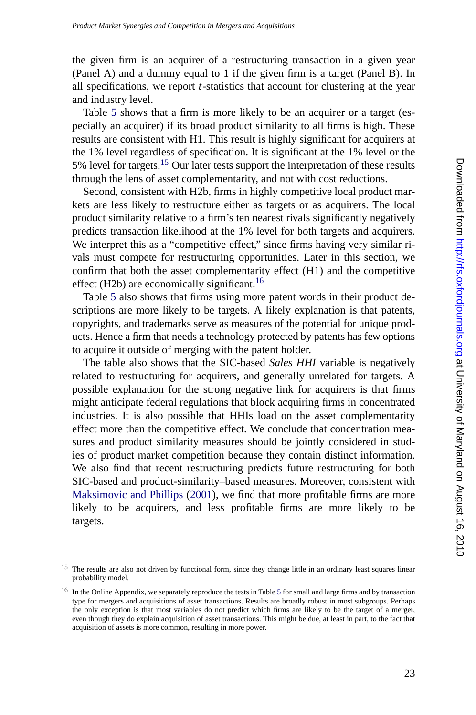the given firm is an acquirer of a restructuring transaction in a given year (Panel A) and a dummy equal to 1 if the given firm is a target (Panel B). In all specifications, we report *t*-statistics that account for clustering at the year and industry level.

Table 5 shows that a firm is more likely to be an acquirer or a target (especially an acquirer) if its broad product similarity to all firms is high. These results a[re](#page-21-0) consistent with H1. This result is highly significant for acquirers at the 1% level regardless of specification. It is significant at the 1% level or the 5% level for targets.15 Our later tests support the interpretation of these results through the lens of asset complementarity, and not with cost reductions.

Second, consistent with H2b, firms in highly competitive local product markets are less likely to restructure either as targets or as acquirers. The local product similarity relative to a firm's ten nearest rivals significantly negatively predicts transaction likelihood at the 1% level for both targets and acquirers. We interpret this as a "competitive effect," since firms having very similar rivals must compete for restructuring opportunities. Later in this section, we confirm that both the asset complementarity effect (H1) and the competitive effect (H2b) are economically significant.<sup>16</sup>

Table 5 also shows that firms using more patent words in their product descriptions are more likely to be targets. A likely explanation is that patents, copyrights, and trademarks serve as measures of the potential for unique prod[ucts. Hence a firm that needs a te](#page-38-0)chnology protected by patents has few options to acquire it outside of merging with the patent holder.

The table also shows that the SIC-based *Sales HHI* variable is negatively related to restructuring for acquirers, and generally unrelated for targets. A possible explanation for the strong negative link for acquirers is that firms might anticipate federal regulations that block acquiring firms in concentrated industries. It is also possible that HHIs load on the asset complementarity effect more than the competitive effect. We c[on](#page-21-0)clude that concentration measures and product similarity measures should be jointly considered in studies of product market competition because they contain distinct information. We also find that recent restructuring predicts future restructuring for both SIC-based and product-similarity–based measures. Moreover, consistent with Maksimovic and Phillips (2001), we find that more profitable firms are more likely to be acquirers, and less profitable firms are more likely to be targets.

<sup>&</sup>lt;sup>15</sup> The results are also not driven by functional form, since they change little in an ordinary least squares linear probability model.

<sup>&</sup>lt;sup>16</sup> In the Online Appendix, we separately reproduce the tests in Table 5 for small and large firms and by transaction type for mergers and acquisitions of asset transactions. Results are broadly robust in most subgroups. Perhaps the only exception is that most variables do not predict which firms are likely to be the target of a merger, even though they do explain acquisition of asset transactions. This might be due, at least in part, to the fact that acquisition of assets is more common, resulting in more power.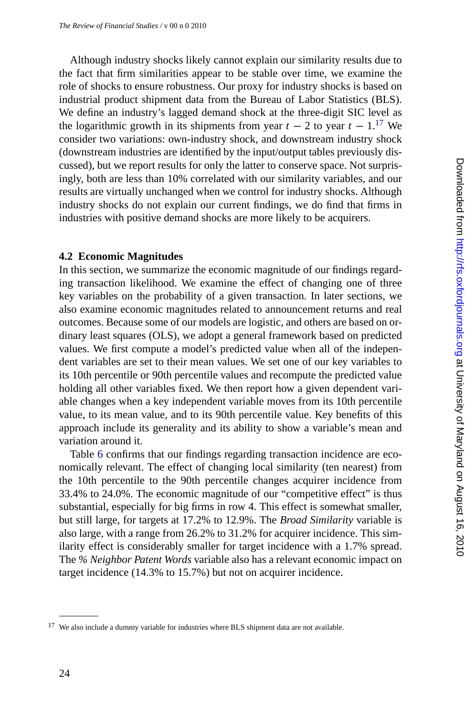Although industry shocks likely cannot explain our similarity results due to the fact that firm similarities appear to be stable over time, we examine the role of shocks to ensure robustness. Our proxy for industry shocks is based on industrial product shipment data from the Bureau of Labor Statistics (BLS). We define an industry's lagged demand shock at the three-digit SIC level as the logarithmic growth in its shipments from year  $t - 2$  to year  $t - 1$ .<sup>17</sup> We consider two variations: own-industry shock, and downstream industry shock (downstream industries are identified by the input/output tables previously discussed), but we report results for only the latter to conserve space. Not surprisingly, both are less than 10% correlated with our similarity variables, and our results are virtually unchanged when we control for industry shocks. Although industry shocks do not explain our current findings, we do find that firms in industries with positive demand shocks are more likely to be acquirers.

### **4.2 Economic Magnitudes**

In this section, we summarize the economic magnitude of our findings regarding transaction likelihood. We examine the effect of changing one of three key vari[ab](#page-24-0)les on the probability of a given transaction. In later sections, we also examine economic magnitudes related to announcement returns and real outcomes. Because some of our models are logistic, and others are based on ordinary least squares (OLS), we adopt a general framework based on predicted values. We first compute a model's predicted value when all of the independent variables are set to their mean values. We set one of our key variables to its 10th percentile or 90th percentile values and recompute the predicted value holding all other variables fixed. We then report how a given dependent variable changes when a key independent variable moves from its 10th percentile value, to its mean value, and to its 90th percentile value. Key benefits of this approach include its generality and its ability to show a variable's mean and variation around it.

Table 6 confirms that our findings regarding transaction incidence are economically relevant. The effect of changing local similarity (ten nearest) from the 10th percentile to the 90th percentile changes acquirer incidence from 33.4% to 24.0%. The economic magnitude of our "competitive effect" is thus substantial, especially for big firms in row 4. This effect is somewhat smaller, but still large, for targets at 17.2% to 12.9%. The *Broad Similarity* variable is also large, with a range from 26.2% to 31.2% for acquirer incidence. This similarity effect is considerably smaller for target incidence with a 1.7% spread. The *% Neighbor Patent Words* variable also has a relevant economic impact on target incidence (14.3% to 15.7%) but not on acquirer incidence.

Downloaded from http://rfs.oxfordjournals.org at University of Maryland on August 16, 2010 at University of Maryland on August 16, 2010 http://rfs.oxfordjournals.org [Download](http://rfs.oxfordjournals.org)ed from

<sup>&</sup>lt;sup>17</sup> We also include a dummy variable for industries where BLS shipment data are not available.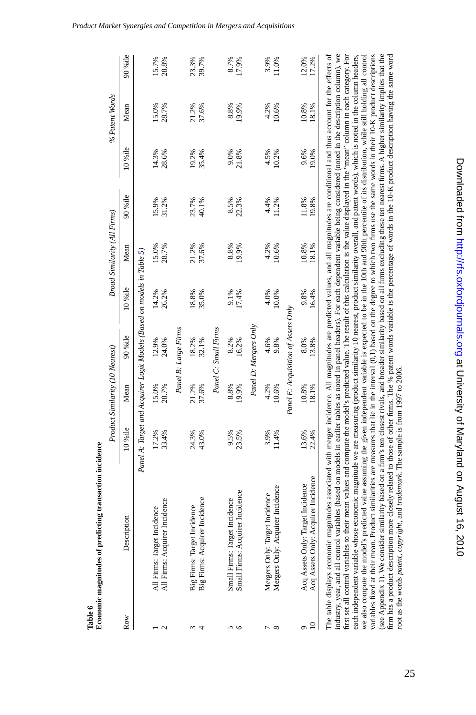| Table 6        | predicting transaction incidence<br>Economic magnitudes of                                                                                                                                                                                                                                                                                                                                                                                                                                                                                                                                                                                                                                                                                                                                                                                                                                                                                                                                                                                                                                                                                                                                                                                                                                                                                                                                                                                                                                                                                                                                                                                                                             |                |                                 |                                                                        |                |                                     |                |                |                |                |
|----------------|----------------------------------------------------------------------------------------------------------------------------------------------------------------------------------------------------------------------------------------------------------------------------------------------------------------------------------------------------------------------------------------------------------------------------------------------------------------------------------------------------------------------------------------------------------------------------------------------------------------------------------------------------------------------------------------------------------------------------------------------------------------------------------------------------------------------------------------------------------------------------------------------------------------------------------------------------------------------------------------------------------------------------------------------------------------------------------------------------------------------------------------------------------------------------------------------------------------------------------------------------------------------------------------------------------------------------------------------------------------------------------------------------------------------------------------------------------------------------------------------------------------------------------------------------------------------------------------------------------------------------------------------------------------------------------------|----------------|---------------------------------|------------------------------------------------------------------------|----------------|-------------------------------------|----------------|----------------|----------------|----------------|
|                |                                                                                                                                                                                                                                                                                                                                                                                                                                                                                                                                                                                                                                                                                                                                                                                                                                                                                                                                                                                                                                                                                                                                                                                                                                                                                                                                                                                                                                                                                                                                                                                                                                                                                        |                | Product Similarity (10 Nearest) |                                                                        |                | <b>Broad Similarity (All Firms)</b> |                |                | % Patent Words |                |
| Row            | scription<br>്                                                                                                                                                                                                                                                                                                                                                                                                                                                                                                                                                                                                                                                                                                                                                                                                                                                                                                                                                                                                                                                                                                                                                                                                                                                                                                                                                                                                                                                                                                                                                                                                                                                                         | $10\%$ ile     | Mean                            | 90 % ile                                                               | 10%ile         | Mean                                | 90%ile         | 10%ile         | Mean           | 90 % ile       |
|                |                                                                                                                                                                                                                                                                                                                                                                                                                                                                                                                                                                                                                                                                                                                                                                                                                                                                                                                                                                                                                                                                                                                                                                                                                                                                                                                                                                                                                                                                                                                                                                                                                                                                                        |                |                                 | Panel A: Target and Acquirer Logit Models (Based on models in Table 5) |                |                                     |                |                |                |                |
| $ \sim$        | All Firms: Acquirer Incidence<br>All Firms: Target Incidence                                                                                                                                                                                                                                                                                                                                                                                                                                                                                                                                                                                                                                                                                                                                                                                                                                                                                                                                                                                                                                                                                                                                                                                                                                                                                                                                                                                                                                                                                                                                                                                                                           | 17.2%<br>33.4% | 15.0%<br>28.7%                  | 12.9%<br>24.0%                                                         | 14.2%<br>26.2% | 15.0%<br>28.7%                      | 15.9%<br>31.2% | 14.3%<br>28.6% | 15.0%<br>28.7% | 15.7%<br>28.8% |
|                |                                                                                                                                                                                                                                                                                                                                                                                                                                                                                                                                                                                                                                                                                                                                                                                                                                                                                                                                                                                                                                                                                                                                                                                                                                                                                                                                                                                                                                                                                                                                                                                                                                                                                        |                |                                 | Panel B: Large Firms                                                   |                |                                     |                |                |                |                |
| ε              | Big Firms: Acquirer Incidence<br>Big Firms: Target Incidence                                                                                                                                                                                                                                                                                                                                                                                                                                                                                                                                                                                                                                                                                                                                                                                                                                                                                                                                                                                                                                                                                                                                                                                                                                                                                                                                                                                                                                                                                                                                                                                                                           | 24.3%<br>43.0% | 21.2%<br>37.6%                  | 32.1%<br>18.2%                                                         | 18.8%<br>35.0% | 21.2%<br>37.6%                      | 23.7%<br>40.1% | 19.2%<br>35.4% | 21.2%<br>37.6% | 23.3%<br>39.7% |
|                |                                                                                                                                                                                                                                                                                                                                                                                                                                                                                                                                                                                                                                                                                                                                                                                                                                                                                                                                                                                                                                                                                                                                                                                                                                                                                                                                                                                                                                                                                                                                                                                                                                                                                        |                |                                 | Panel C: Small Firms                                                   |                |                                     |                |                |                |                |
| 5<br>5         | Small Firms: Acquirer Incidence<br>Small Firms: Target Incidence                                                                                                                                                                                                                                                                                                                                                                                                                                                                                                                                                                                                                                                                                                                                                                                                                                                                                                                                                                                                                                                                                                                                                                                                                                                                                                                                                                                                                                                                                                                                                                                                                       | 9.5%<br>23.5%  | 8.8%<br>19.9%                   | 8.2%<br>16.2%                                                          | 9.1%<br>17.4%  | 8.8%<br>19.9%                       | 8.5%<br>22.3%  | 9.0%<br>21.8%  | 8.8%<br>19.9%  | 8.7%<br>17.9%  |
|                |                                                                                                                                                                                                                                                                                                                                                                                                                                                                                                                                                                                                                                                                                                                                                                                                                                                                                                                                                                                                                                                                                                                                                                                                                                                                                                                                                                                                                                                                                                                                                                                                                                                                                        |                |                                 | Panel D: Mergers Only                                                  |                |                                     |                |                |                |                |
| $\sim \infty$  | Acquirer Incidence<br>Target Incidence<br>Mergers Only:<br>Mergers Only:                                                                                                                                                                                                                                                                                                                                                                                                                                                                                                                                                                                                                                                                                                                                                                                                                                                                                                                                                                                                                                                                                                                                                                                                                                                                                                                                                                                                                                                                                                                                                                                                               | 3.9%<br>11.4%  | 4.2%<br>10.6%                   | 4.6%<br>9.8%                                                           | 4.0%<br>10.0%  | 4.2%<br>10.6%                       | 4.4%<br>11.2%  | 4.5%<br>10.2%  | 4.2%<br>10.6%  | 3.9%<br>11.0%  |
|                |                                                                                                                                                                                                                                                                                                                                                                                                                                                                                                                                                                                                                                                                                                                                                                                                                                                                                                                                                                                                                                                                                                                                                                                                                                                                                                                                                                                                                                                                                                                                                                                                                                                                                        |                |                                 | Panel E: Acquisition of Assets Only                                    |                |                                     |                |                |                |                |
| $\approx$<br>Ò | ly: Acquirer Incidence<br>ly: Target Incidence<br>Acq Assets On<br>Acq Assets Onl                                                                                                                                                                                                                                                                                                                                                                                                                                                                                                                                                                                                                                                                                                                                                                                                                                                                                                                                                                                                                                                                                                                                                                                                                                                                                                                                                                                                                                                                                                                                                                                                      | 13.6%<br>22.4% | 10.8%<br>18.1%                  | 8.0%<br>13.8%                                                          | 9.8%<br>16.4%  | 10.8%<br>18.1%                      | 11.8%<br>19.8% | 9.6%<br>19.0%  | 10.8%<br>18.1% | 12.0%<br>17.2% |
|                | ic magnitudes associated with merger incidence. All magnitudes are predicted values, and all magnitudes are conditional and thus account for the effects of<br>industry, year, and all control variables (based on models in earlier tables as noted in panel headers). For each dependent variable being considered (noted in the description column), we<br>to their mean values and compute the model's predicted value. The result of this calculation is the value displayed in the "mean" column in each category. For<br>variables fixed at their mean. Product similarities are measures that lie in the interval (0,1) based on the degree to which two firms use the same words in their IO-K product descriptions<br>(see Appendix 1). We consider similarity based on a firm's ten closest rivals, and broader similarity based on all firms excluding these ten nearest firms. A higher similarity implies that the<br>'s predicted value assuming the given independent variable is expected to be in the 10th and 90th percentile of its distribution, while still holding all control<br>each independent variable whose economic magnitude we are measuring (product similarity 10 nearest, product similarity overall, and patent words), which is noted in the column headers,<br>firm has a product description more closely related to those of other firms. The % patent words variable is the percentage of words in the 10-K product description having the same word<br>pyright, and trademark. The sample is from 1997 to 2006<br>first set all control variables<br>we also compute the model<br>The table displays economi<br>root as the words patent, co |                |                                 |                                                                        |                |                                     |                |                |                |                |

Downloaded from http://rfs.oxfordjournals.org at University of Maryland on August 16, 2010 at University of Maryland on August 16, 2010 http://rfs.oxfordjournals.org [Download](http://rfs.oxfordjournals.org)ed from

### <span id="page-24-0"></span>*Product Market Synergies and Competition in Mergers and Acquisitions*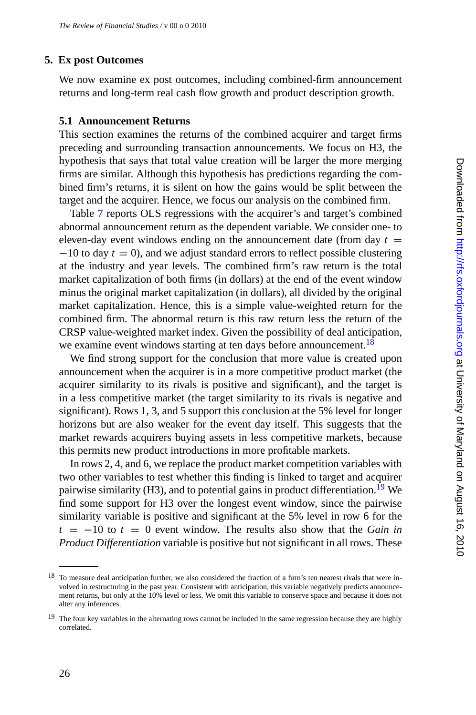### **5. Ex post [O](#page-26-0)utcomes**

We now examine ex post outcomes, including combined-firm announcement returns and long-term real cash flow growth and product description growth.

### **5.1 Announcement Returns**

This section examines the returns of the combined acquirer and target firms preceding and surrounding transaction announcements. We focus on H3, the hypothesis that says that total value creation will be larger the more merging firms are similar. Although this hypothesis has predictions regarding the combined firm's returns, it is silent on how the gains would be split between the target and the acquirer. Hence, we focus our analysis on the combined firm.

Table 7 reports OLS regressions with the acquirer's and target's combined abnormal announcement return as the dependent variable. We consider one- to eleven-day event windows ending on the announcement date (from day  $t =$ −10 to day *t* = 0), and we adjust standard errors to reflect possible clustering at the industry and year levels. The combined firm's raw return is the total market capitalization of both firms (in dollars) at the end of the event window minus the original market capitalization (in dollars), all divided by the original market capitalization. Hence, this is a simple value-weighted return for the combined firm. The abnormal return is this raw return less the return of the CRSP value-weighted market index. Given the possibility of deal anticipation, we examine event windows starting at ten days before announcement.<sup>18</sup>

We find strong support for the conclusion that more value is created upon announcement when the acquirer is in a more competitive product market (the acquirer similarity to its rivals is positive and significant), and the target is in a less competitive market (the target similarity to its rivals is negative and significant). Rows 1, 3, and 5 support this conclusion at the 5% level for longer horizons but are also weaker for the event day itself. This suggests that the market rewards acquirers buying assets in less competitive markets, because this permits new product introductions in more profitable markets.

In rows 2, 4, and 6, we replace the product market competition variables with two other variables to test whether this finding is linked to target and acquirer pairwise similarity (H3), and to potential gains in product differentiation.<sup>19</sup> We find some support for H3 over the longest event window, since the pairwise similarity variable is positive and significant at the 5% level in row 6 for the  $t = -10$  to  $t = 0$  event window. The results also show that the *Gain in Product Differentiation* variable is positive but not significant in all rows. These

<sup>18</sup> To measure deal anticipation further, we also considered the fraction of a firm's ten nearest rivals that were involved in restructuring in the past year. Consistent with anticipation, this variable negatively predicts announcement returns, but only at the 10% level or less. We omit this variable to conserve space and because it does not alter any inferences.

<sup>&</sup>lt;sup>19</sup> The four key variables in the alternating rows cannot be included in the same regression because they are highly correlated.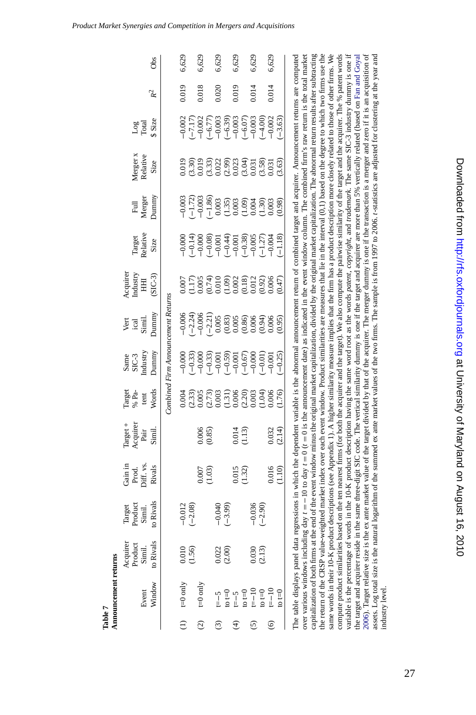| l'able 7               | Announcement returns         |                                           |                                         |                                                |                                               |                                                                                               |                                                                                               |                                                                                                                                                                                                                                                                                                                                   |                                              |                            |                         |                                                                                                                                                                                                                                                                                                                                              |                                                                                                                                                                                                                                                                                                                         |                |       |
|------------------------|------------------------------|-------------------------------------------|-----------------------------------------|------------------------------------------------|-----------------------------------------------|-----------------------------------------------------------------------------------------------|-----------------------------------------------------------------------------------------------|-----------------------------------------------------------------------------------------------------------------------------------------------------------------------------------------------------------------------------------------------------------------------------------------------------------------------------------|----------------------------------------------|----------------------------|-------------------------|----------------------------------------------------------------------------------------------------------------------------------------------------------------------------------------------------------------------------------------------------------------------------------------------------------------------------------------------|-------------------------------------------------------------------------------------------------------------------------------------------------------------------------------------------------------------------------------------------------------------------------------------------------------------------------|----------------|-------|
|                        | Window<br>Event              | Acquirer<br>Product<br>Simil.<br>to Rival | o Rivals<br>Target<br>Product<br>Simil. | Gain in<br>Prod.<br>Diff. vs.<br>Rivals        | Target +<br>Acquirer<br>Pair<br>Simil         | $\begin{array}{c} \text{Target} \\ \text{\%} \text{ Pa-} \\ \text{tent} \end{array}$<br>Words | $\begin{array}{c} \text{Same} \\ \text{SIC-3} \\ \text{Industry} \\ \text{Dumny} \end{array}$ | Vert<br>ical<br>Simil.<br>Dummy                                                                                                                                                                                                                                                                                                   | Acquire<br>Industry<br>HHI<br>HHI<br>(SIC-3) | Target<br>Relative<br>Size | Full<br>Merger<br>Dummy | Merger x<br>Relative<br>Size                                                                                                                                                                                                                                                                                                                 | $\frac{\log}{\log}$                                                                                                                                                                                                                                                                                                     | $\mathsf{R}^2$ | Obs   |
|                        |                              |                                           |                                         |                                                |                                               |                                                                                               |                                                                                               | Combined Firm Announcement Returns                                                                                                                                                                                                                                                                                                |                                              |                            |                         |                                                                                                                                                                                                                                                                                                                                              |                                                                                                                                                                                                                                                                                                                         |                |       |
| $\hat{z}$              | $t=0$ only                   | 0.010                                     |                                         |                                                |                                               |                                                                                               |                                                                                               |                                                                                                                                                                                                                                                                                                                                   |                                              |                            |                         |                                                                                                                                                                                                                                                                                                                                              |                                                                                                                                                                                                                                                                                                                         | 0.019          | 6,629 |
|                        |                              | (1.56)                                    | $-0.012$<br>$(-2.08)$                   |                                                |                                               | 0.001333<br>0.005333<br>0.00333303333<br>0.000333333<br>0.0003333                             |                                                                                               |                                                                                                                                                                                                                                                                                                                                   |                                              |                            |                         |                                                                                                                                                                                                                                                                                                                                              |                                                                                                                                                                                                                                                                                                                         |                |       |
| $\widehat{c}$          | $t=0$ only                   |                                           |                                         |                                                |                                               |                                                                                               |                                                                                               |                                                                                                                                                                                                                                                                                                                                   |                                              |                            |                         |                                                                                                                                                                                                                                                                                                                                              |                                                                                                                                                                                                                                                                                                                         | 0.018          | 6,629 |
|                        |                              |                                           |                                         | 0.007<br>T.03)                                 | 0.006                                         |                                                                                               |                                                                                               |                                                                                                                                                                                                                                                                                                                                   |                                              |                            |                         |                                                                                                                                                                                                                                                                                                                                              |                                                                                                                                                                                                                                                                                                                         |                |       |
| $\widehat{c}$          |                              |                                           |                                         |                                                |                                               |                                                                                               |                                                                                               |                                                                                                                                                                                                                                                                                                                                   |                                              |                            |                         |                                                                                                                                                                                                                                                                                                                                              |                                                                                                                                                                                                                                                                                                                         | 0.020          | 6,629 |
|                        | $t = -5$<br>to $t = 0$       | $0.022$<br>(2.00)                         | $-0.040$<br>$(-3.99)$                   |                                                |                                               |                                                                                               |                                                                                               |                                                                                                                                                                                                                                                                                                                                   |                                              |                            |                         |                                                                                                                                                                                                                                                                                                                                              |                                                                                                                                                                                                                                                                                                                         |                |       |
| $\widehat{\mathrm{H}}$ |                              |                                           |                                         |                                                |                                               |                                                                                               |                                                                                               |                                                                                                                                                                                                                                                                                                                                   |                                              |                            |                         |                                                                                                                                                                                                                                                                                                                                              |                                                                                                                                                                                                                                                                                                                         | 0.019          | 6,629 |
|                        | $t = -5$<br>to $t = 0$       |                                           |                                         | $\begin{array}{c} 0.015 \\ (1.32) \end{array}$ | $\begin{array}{c} 0.014 \\ -1.13 \end{array}$ |                                                                                               |                                                                                               |                                                                                                                                                                                                                                                                                                                                   |                                              |                            |                         |                                                                                                                                                                                                                                                                                                                                              |                                                                                                                                                                                                                                                                                                                         |                |       |
| $\widetilde{S}$        | $t = -10$                    | 0.030                                     |                                         |                                                |                                               |                                                                                               |                                                                                               |                                                                                                                                                                                                                                                                                                                                   |                                              |                            |                         |                                                                                                                                                                                                                                                                                                                                              |                                                                                                                                                                                                                                                                                                                         | 0.014          | 6,629 |
|                        |                              | (2.13)                                    | $-0.036$<br>$(-2.90)$                   |                                                |                                               |                                                                                               |                                                                                               |                                                                                                                                                                                                                                                                                                                                   |                                              |                            |                         |                                                                                                                                                                                                                                                                                                                                              |                                                                                                                                                                                                                                                                                                                         |                |       |
| $\widehat{\circ}$      | to t=0<br>$t = -10$          |                                           |                                         |                                                |                                               |                                                                                               |                                                                                               |                                                                                                                                                                                                                                                                                                                                   |                                              |                            |                         |                                                                                                                                                                                                                                                                                                                                              |                                                                                                                                                                                                                                                                                                                         | 0.014          | 6,629 |
|                        | $\frac{1}{2}$                |                                           |                                         | $\begin{array}{c} 0.016 \\ -0.100 \end{array}$ | $0.032$<br>$(2.14)$                           | 1.76)                                                                                         |                                                                                               | $\begin{array}{l} 0.006 \\[-4.006 \\[-4.006 \\[-4.006 \\[-4.006 \\[-4.006 \\[-4.006 \\[-4.006 \\[-4.006 \\[-4.006 \\[-4.006 \\[-4.006 \\[-4.006 \\[-4.006 \\[-4.006 \\[-4.006 \\[-4.006 \\[-4.006 \\[-4.006 \\[-4.006 \\[-4.006 \\[-4.006 \\[-4.006 \\[-4.006 \\[-4.006 \\[-4.006 \\[-4.006 \\[-4.006 \\[-4.006 \\[-4.006 \\[-4.$ |                                              |                            |                         |                                                                                                                                                                                                                                                                                                                                              | $\begin{array}{l} 0000\\[-4pt] -10000\\[-4pt] -10000\\[-4pt] -10000\\[-4pt] -10000\\[-4pt] -10000\\[-4pt] -10000\\[-4pt] -10000\\[-4pt] -10000\\[-4pt] -10000\\[-4pt] -10000\\[-4pt] -1000\\[-4pt] -1000\\[-4pt] -1000\\[-4pt] -1000\\[-4pt] -1000\\[-4pt] -1000\\[-4pt] -1000\\[-4pt] -1000\\[-4pt] -1000\\[-4pt] -10$ |                |       |
|                        | The table displays panel day |                                           |                                         |                                                |                                               |                                                                                               |                                                                                               |                                                                                                                                                                                                                                                                                                                                   |                                              |                            |                         | ta regressions in which the dependent variable is the abnormal announcement return of combined target and acquirer. Announcement returns are computed<br>over various windows including day $t = -10$ to to day $t = 0$ is the announcement date) as indicated in the event window column. The combined firm's raw return is the total marke |                                                                                                                                                                                                                                                                                                                         |                |       |
|                        |                              |                                           |                                         |                                                |                                               |                                                                                               |                                                                                               |                                                                                                                                                                                                                                                                                                                                   |                                              |                            |                         |                                                                                                                                                                                                                                                                                                                                              |                                                                                                                                                                                                                                                                                                                         |                |       |

capitalization of both firms at the end of the event window minus the original market capital market capitalization. The abnormal return results after subtracting<br>the return of the CRSP value-weighted market index over eac compute product similarities based on the ten nearest firms (for both the acquirer and the target). We also compute the pairwise similarity of the target and the acquirer. The % patent words For the preceding of words in the 10-K product description having the same word root as the words *patent*, copyright, and *trademark*. The same SIC-3 industry dummy is one if  $\alpha$  is one if variable is the percentage of words in the 10-K product description having the same word root as the words *patent*, *copyright*, and *trademark*. The same SIC-3 industry dummy is one if capitalization of both firms at the end of the event window minus the original market capitalization. The abnormal return results after subtracting the return of the CRSP value-weighted market index over each event window. Product similarities are measures that lie in the interval (0,1) based on the degree to which two firms use the same words in their 10-K product descriptions (see Appendix 1). A higher similarity measure implies that the firm has a product description more closely related to those of other firms. We compute product similarities based on the ten nearest firms (for both the acquirer and the target). We also compute the pairwise similarity of the target and the acquirer. The % patent words the target and acquirer reside in the same three-digit SIC code. The vertical similarity dummy is one if the target and acquirer are more than 5% vertically related (based on Fan and Goyal the target and acquirer reside in the same three-digit SIC code. The vertical similarity dummy is one if the target and acquirer are more than 5% vertically related (based on Fan and Goyal 2006). Target relative size is the ex ante market value of the target divided by that of the acquirer. The merger dummy is one if the transaction is a merger and zero if it is an acquisition of 2006). Target relative size is the ex ante market val[ue](#page-37-0) of the target divided by that of the acquirer. The merger dummy is one if the transaction is a merger and zero if it is an acquisition of assets. Log total size is the natural logarithm of the summed ex ante market values of the two firms. The sample is from 1997 to 2006. t-statistics are adjusted for clustering at the year and assets. Log total size is the natural logarithm of the summed ex ante market values of the two firms. The sample is from 1997 to 2006. *t*-statistics are adjusted for clustering at the year and industry level. industry level.

Downloaded from http://rfs.oxfordjournals.org at University of Maryland on August 16, 2010 at University of Maryland on August 16, 2010 http://rfs.oxfordjournals.org [Download](http://rfs.oxfordjournals.org)ed from

<span id="page-26-0"></span>*Product Market Synergies and Competition in Mergers and Acquisitions*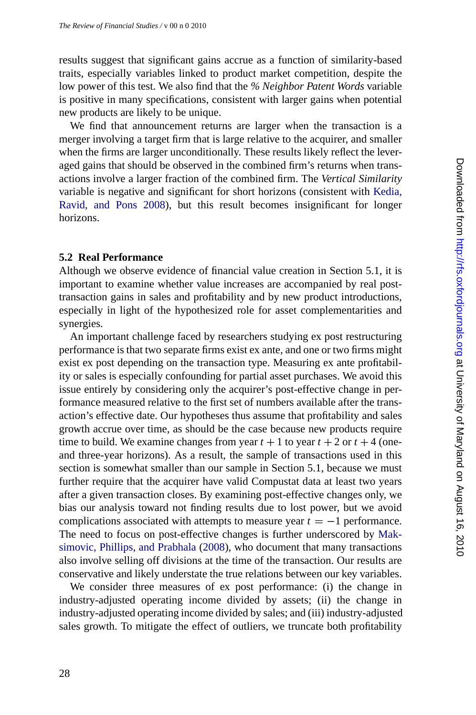results suggest that significant gains accrue as a function of similarity-based traits, especially variables linked to product market competition, despite the low power of this test. We also find that the *% Neighbor Patent Words* variable is positive in many specifications, consistent with larger gains when potential new products are likely to be unique.

We find that announcement returns are larger when the transaction is a merger involving a target firm that is large relative to the acquirer, and smaller when the firms are larger unconditionally. These results likely reflect the leveraged gains that should be observed in the combined firm's returns when transactions involve a larger fraction of the combined firm. The *Vertical Similarity* variable is negative and significant for short horizons (consistent with Kedia, Ravid, and Pons 2008), but this result becomes insignificant for longer horizons.

### **5.2 Real Performance**

Although we observe evidence of financial value creation in Section 5.1, it is important to examine whether value increases are accompanied by real posttransaction gains in sales and profitability and by new product introductions, especially in light of the hypothesized role for asset complementarities and synergies.

An important challenge faced by researchers studying ex post restructuring performance is that two separate firms exist ex ante, and one or two firms might exist ex post depending on the transaction type. Measuring ex ante profitability or sales is especially confounding for partial asset purchases. We avoi[d this](#page-38-0) [issue entirely by considering only the](#page-38-0) acquirer's post-effective change in performance measured relative to the first set of numbers available after the transaction's effective date. Our hypotheses thus assume that profitability and sales growth accrue over time, as should be the case because new products require time to build. We examine changes from year  $t + 1$  to year  $t + 2$  or  $t + 4$  (oneand three-year horizons). As a result, the sample of transactions used in this section is somewhat smaller than our sample in Section 5.1, because we must further require that the acquirer have valid Compustat data at least two years after a given transaction closes. By examining post-effective changes only, we bias our analysis toward not finding results due to lost power, but we avoid complications associated with attempts to measure year  $t = -1$  performance. The need to focus on post-effective changes is further underscored by Maksimovic, Phillips, and Prabhala (2008), who document that many transactions also involve selling off divisions at the time of the transaction. Our results are conservative and likely understate the true relations between our key variables.

We consider three measures of ex post performance: (i) the change in industry-adjusted operating income divided by assets; (ii) the change in industry-adjusted operating income divided by sales; and (iii) industry-adjusted sales growth. To mitigate the effect of outliers, we truncate both profitability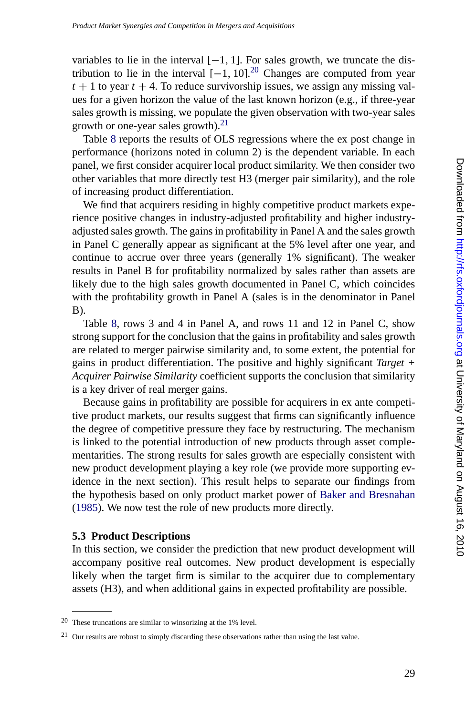variables to lie in the interval  $[-1, 1]$ . For sales growth, we truncate the distribution to lie in the interval  $[-1, 10]$ .<sup>20</sup> Changes are computed from year  $t + 1$  to year  $t + 4$ . To reduce survivorship issues, we assign any missing values for a given horizon the value of the last known horizon (e.g., if three-year sales growth is missing, we populate the given observation with two-year sales growth or one-year sales growth). $21$ 

Table 8 reports the results of OLS regressions where the ex post change in performance (horizons noted in column 2) is the dependent variable. In each panel, w[e fi](#page-30-0)rst consider acquirer local product similarity. We then consider two other variables that more directly test H3 (merger pair similarity), and the role of increasing product differentiation.

We find that acquirers residing in highly competitive product markets experience positive changes in industry-adjusted profitability and higher industryadjusted sales growth. The gains in profitability in Panel A and the sales growth in Panel C generally appear as significant at the 5% level after one year, and continue to accrue over three years (generally 1% significant). The weaker results in Panel B for profitability normalized by sales rather than assets are likely due to the high sales growth documented in Panel C, which coincides with the profitability growth in Panel A (sales is in the denominator in Panel B).

Table 8, rows 3 and 4 in Panel A, and rows 11 and 12 in Panel C, show strong support for the conclusion that the gains in profita[bility and sales growth](#page-37-0) [are rel](#page-37-0)ated to merger pairwise similarity and, to some extent, the potential for gains in product differentiation. The positive and highly significant *Target + Acquirer Pairwise Similarity* coefficient supports the conclusion that similarity is a key driver of real merger gains.

Because gains in profitability are possible for acquirers in ex ante competitive product markets, our results suggest that firms can significantly influence the degree of competitive pressure they face by restructuring. The mechanism is linked to the potential introduction of new products through asset complementarities. The strong results for sales growth are especially consistent with new product development playing a key role (we provide more supporting evidence in the next section). This result helps to separate our findings from the hypothesis based on only product market power of Baker and Bresnahan (1985). We now test the role of new products more directly.

### **5.3 Product Descriptions**

In this section, we consider the prediction that new product development will accompany positive real outcomes. New product development is especially likely when the target firm is similar to the acquirer due to complementary assets (H3), and when additional gains in expected profitability are possible.

<sup>20</sup> These truncations are similar to winsorizing at the 1% level.

 $21$  Our results are robust to simply discarding these observations rather than using the last value.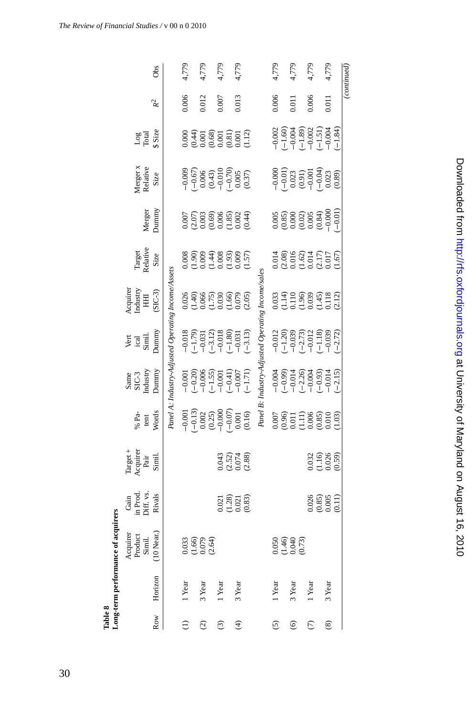|                                    | Obs                                                                                          |                                                    | 4,779           | 4,779                                                                                                                                                                                                                                                                                                                              | 4,779   |                                            | 4,779         |                                                   | 4,779                                                                                                                                                                                                                                                                                 | 4,779             |                                        | 4,779                                                                                                                                                                                                                                                                                                                             | 4,779                        | (continued, |
|------------------------------------|----------------------------------------------------------------------------------------------|----------------------------------------------------|-----------------|------------------------------------------------------------------------------------------------------------------------------------------------------------------------------------------------------------------------------------------------------------------------------------------------------------------------------------|---------|--------------------------------------------|---------------|---------------------------------------------------|---------------------------------------------------------------------------------------------------------------------------------------------------------------------------------------------------------------------------------------------------------------------------------------|-------------------|----------------------------------------|-----------------------------------------------------------------------------------------------------------------------------------------------------------------------------------------------------------------------------------------------------------------------------------------------------------------------------------|------------------------------|-------------|
|                                    | $R^2$                                                                                        |                                                    | 0.006           | 0.012                                                                                                                                                                                                                                                                                                                              | 0.007   |                                            | 0.013         |                                                   | 0.006                                                                                                                                                                                                                                                                                 | $\overline{0.01}$ |                                        | 0.006                                                                                                                                                                                                                                                                                                                             | 0.011                        |             |
|                                    | $\begin{array}{c}\n\text{Log} \\ \text{Total} \\ \text{Size}\n\end{array}$                   |                                                    |                 |                                                                                                                                                                                                                                                                                                                                    |         |                                            |               |                                                   |                                                                                                                                                                                                                                                                                       |                   |                                        |                                                                                                                                                                                                                                                                                                                                   |                              |             |
|                                    | Merger x<br>Relative<br>Size                                                                 |                                                    |                 | $-0.009$<br>$-0.67$<br>$0.006$<br>$0.010$<br>$-0.70$<br>$-0.70$<br>$-0.005$<br>$-0.005$                                                                                                                                                                                                                                            |         |                                            |               |                                                   |                                                                                                                                                                                                                                                                                       |                   |                                        | $\begin{array}{l} 0.000\\ -0.011\\ -0.023\\ 0.001\\ -0.000\\ -0.003\\ 0.003\\ -0.003\\ 0.089 \end{array}$                                                                                                                                                                                                                         |                              |             |
|                                    | Merger<br>Dummy                                                                              |                                                    |                 | $0.007$<br>$0.003$<br>$0.005$<br>$0.006$<br>$0.002$<br>$0.004$                                                                                                                                                                                                                                                                     |         |                                            |               |                                                   |                                                                                                                                                                                                                                                                                       |                   |                                        | $\begin{array}{l} 0.005 \\ 0.85 \\ 0.000 \\ 0.005 \\ 0.005 \\ 0.005 \\ 0.005 \\ -0.001 \\ 0.01 \\ -0.01 \\ 0.01 \\ -0.01 \\ 0.01 \\ -0.01 \\ 0.01 \\ -0.01 \\ 0.01 \\ -0.01 \\ 0.01 \\ -0.01 \\ -0.01 \\ -0.01 \\ -0.01 \\ -0.01 \\ -0.01 \\ -0.01 \\ -0.01 \\ -0.01 \\ -0.01 \\ -0.01 \\ -0.01 \\ -0.01 \\ -0.01 \\ -0.01 \\ -0$ |                              |             |
|                                    | Target<br>Relative<br>Size                                                                   |                                                    |                 | $\begin{array}{r} 6000 \\ 0000 \\ 0000 \\ 0000 \\ \end{array} \hspace{-.25cm} \begin{array}{r} 0 \\ 0 \\ 0 \\ 0 \\ 0 \\ \end{array} \hspace{-.25cm} \begin{array}{r} 0 \\ 0 \\ 0 \\ 0 \\ 0 \\ \end{array} \hspace{-.25cm} \begin{array}{r} 0 \\ 0 \\ 0 \\ 0 \\ 0 \\ \end{array} \hspace{-.25cm} \end{array}$                       |         |                                            |               |                                                   |                                                                                                                                                                                                                                                                                       |                   |                                        | 014<br>0.0162<br>0.014<br>0.015<br>0.015                                                                                                                                                                                                                                                                                          |                              |             |
|                                    | Acquirer<br>Industry<br>HHI<br>$(SIC-3)$                                                     | Panel A: Industry-Adjusted Operating Income/Assets |                 | 0.026<br>0.4066<br>0.030<br>0.079<br>0.079<br>0.05)                                                                                                                                                                                                                                                                                |         |                                            |               | Panel B: Industry-Adjusted Operating Income/sales |                                                                                                                                                                                                                                                                                       |                   |                                        | $\begin{array}{l} 0.33 \\ 0.14 \\ 0.10 \\ 0.03 \\ 0.03 \\ 0.11 \\ 0.03 \\ 0.11 \\ 0.12 \\ 0.12 \\ 0.13 \\ 0.13 \\ 0.13 \\ 0.14 \\ 0.12 \\ 0.13 \\ 0.14 \\ 0.15 \\ 0.15 \\ 0.16 \\ 0.17 \\ 0.18 \\ 0.19 \\ 0.19 \\ 0.19 \\ 0.19 \\ 0.19 \\ 0.19 \\ 0.19 \\ 0.19 \\ 0.19 \\ 0.19 \\ 0.19 \\ 0.19 \\ 0.19 \\ 0.$                     |                              |             |
|                                    | Vert<br>ical<br>Simil.<br>Dummy                                                              |                                                    |                 | $\begin{array}{r} -0.018 \\ -0.031 \\ -0.031 \\ -0.018 \\ -0.018 \\ -0.018 \\ -0.031 \\ -0.031 \\ -0.031 \\ -0.031 \\ -0.031 \\ -0.031 \\ -0.031 \\ -0.031 \\ -0.031 \\ -0.031 \\ -0.031 \\ -0.031 \\ -0.031 \\ -0.031 \\ -0.031 \\ -0.031 \\ -0.031 \\ -0.031 \\ -0.031 \\ -0.031 \\ -0.031 \\ -0.031 \\ -0.031 \\ -0.031 \\ -0.$ |         |                                            |               |                                                   |                                                                                                                                                                                                                                                                                       |                   |                                        | $-0.012$<br>$-1.20$<br>$-0.039$<br>$-0.73$<br>$-0.012$<br>$-1.18$<br>$-1.18$<br>$-1.039$                                                                                                                                                                                                                                          |                              |             |
|                                    | $\begin{array}{c} \text{Same} \\ \text{SIC-3} \\ \text{Industy} \\ \text{Dumny} \end{array}$ |                                                    |                 | $\begin{array}{c} -0.001 \\ -0.20) \\ -0.006 \\ -0.55) \\ -0.011 \\ -0.011 \\ -0.011 \\ -0.007 \\ -0.007 \\ -0.007 \\ -0.007 \\ -0.007 \\ -0.007 \\ -0.007 \\ -0.007 \\ -0.007 \\ -0.007 \\ -0.007 \\ -0.007 \\ -0.007 \\ -0.007 \\ -0.007 \\ -0.007 \\ -0.007 \\ -0.007 \\ -0.007 \\ -0.007 \\ -0.007 \\ -0.007 \\ -0.007 \\ -0.$ |         |                                            |               |                                                   | $\begin{array}{l} 30,0000\\ -0.00000\\ -0.00000\\ -0.00000\\ -0.00000\\ -0.00000\\ -0.00000\\ -0.00000\\ -0.00000\\ -0.00000\\ -0.00000\\ -0.00000\\ -0.00000\\ -0.00000\\ -0.00000\\ -0.00000\\ -0.00000\\ -0.00000\\ -0.00000\\ -0.00000\\ -0.00000\\ -0.00000\\ -0.00000\\ -0.000$ |                   |                                        |                                                                                                                                                                                                                                                                                                                                   |                              |             |
|                                    | % Pa-<br>tent<br>Words                                                                       |                                                    |                 | $\begin{array}{l} -0.001 \\ (-0.13) \\ 0.002 \\ 0.25) \\ 0.25) \\ (-0.07) \\ 0.001 \\ 0.001 \\ 0.001 \\ 0.001 \\ \end{array}$                                                                                                                                                                                                      |         |                                            |               |                                                   |                                                                                                                                                                                                                                                                                       |                   |                                        | 0.007<br>0.960<br>0.0111)<br>0.008<br>0.000<br>0.03)                                                                                                                                                                                                                                                                              |                              |             |
|                                    | Target +<br>Acquirer<br>Pair<br>Simil.                                                       |                                                    |                 |                                                                                                                                                                                                                                                                                                                                    |         | $0.043$<br>$(2.52)$<br>$0.074$<br>$(2.88)$ |               |                                                   |                                                                                                                                                                                                                                                                                       |                   |                                        |                                                                                                                                                                                                                                                                                                                                   | 0.032<br>0.026<br>0.090      |             |
|                                    | Gain<br>in Prod.<br>Diff. vs.<br>Rivals                                                      |                                                    |                 |                                                                                                                                                                                                                                                                                                                                    |         | 다 8일<br>1.28<br>이 다음 8                     |               |                                                   |                                                                                                                                                                                                                                                                                       |                   |                                        |                                                                                                                                                                                                                                                                                                                                   | 0.85<br>0.85<br>0.01<br>0.01 |             |
| Long-term performance of acquirers | (10 Near.)<br>Acquirer<br>Product<br>Simil.                                                  |                                                    |                 | 0.033<br>0.059<br>0.05<br>0.05                                                                                                                                                                                                                                                                                                     |         |                                            |               |                                                   |                                                                                                                                                                                                                                                                                       |                   | $0.050$<br>$0.46$<br>$0.040$<br>$0.73$ |                                                                                                                                                                                                                                                                                                                                   |                              |             |
|                                    | Horizon                                                                                      |                                                    | 1 Year          | 3 Year                                                                                                                                                                                                                                                                                                                             | 1 Year  |                                            | 3 Year        |                                                   | 1 Year                                                                                                                                                                                                                                                                                | 3 Year            |                                        | 1 Year                                                                                                                                                                                                                                                                                                                            | 3 Year                       |             |
| Table 8                            | Row                                                                                          |                                                    | $\widehat{\Xi}$ | $\odot$                                                                                                                                                                                                                                                                                                                            | $\odot$ |                                            | $\widehat{f}$ |                                                   | $\widehat{c}$                                                                                                                                                                                                                                                                         | $\widehat{\circ}$ |                                        | $\widehat{c}$                                                                                                                                                                                                                                                                                                                     | $\circledast$                |             |

Downloaded from http://rfs.oxfordjournals.org at University of Maryland on August 16, 2010 at University of Maryland on August 16, 2010 http://rfs.oxfordjournals.org [Download](http://rfs.oxfordjournals.org)ed from

*The Review of Financial Studies /* v 00 n 0 2010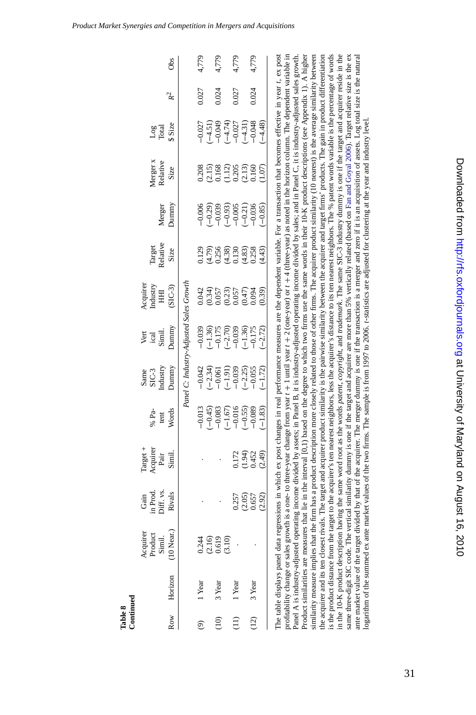| Continued<br>Table 8                   |         |                                                                                                                                                                                                       |                               |                                                                                                     |                                                                             |                                                                                                                                                                                                                                                                                                                                    |                                                                                             |                                                                                                                          |                                               |                                                                                                                                                                                                                                                                                                     |                                                                                                    |                                                                                                                                                                                                                                                                                                                                                  |                |       |
|----------------------------------------|---------|-------------------------------------------------------------------------------------------------------------------------------------------------------------------------------------------------------|-------------------------------|-----------------------------------------------------------------------------------------------------|-----------------------------------------------------------------------------|------------------------------------------------------------------------------------------------------------------------------------------------------------------------------------------------------------------------------------------------------------------------------------------------------------------------------------|---------------------------------------------------------------------------------------------|--------------------------------------------------------------------------------------------------------------------------|-----------------------------------------------|-----------------------------------------------------------------------------------------------------------------------------------------------------------------------------------------------------------------------------------------------------------------------------------------------------|----------------------------------------------------------------------------------------------------|--------------------------------------------------------------------------------------------------------------------------------------------------------------------------------------------------------------------------------------------------------------------------------------------------------------------------------------------------|----------------|-------|
|                                        |         | Acquirer<br>Product<br>Simil.                                                                                                                                                                         | Gain<br>in Prod.<br>Diff. vs. | $\begin{array}{ll} \text{Target} + \\ \text{Acquirer} \\ \text{Aquirer} \\ \text{Pair} \end{array}$ | % Pa-                                                                       | Same<br>SIC-3<br>Industry                                                                                                                                                                                                                                                                                                          | Vert<br>ical                                                                                | Acquirer<br>Industry<br>HHI                                                                                              |                                               |                                                                                                                                                                                                                                                                                                     |                                                                                                    |                                                                                                                                                                                                                                                                                                                                                  |                |       |
|                                        |         |                                                                                                                                                                                                       |                               |                                                                                                     | tent                                                                        |                                                                                                                                                                                                                                                                                                                                    | Simil.                                                                                      |                                                                                                                          | Target<br>Relative                            |                                                                                                                                                                                                                                                                                                     | Merger x<br>Relative                                                                               | Log<br>Total                                                                                                                                                                                                                                                                                                                                     |                |       |
| Row                                    | Horizon | $(10$ Near.)                                                                                                                                                                                          | Rivals                        | Simil.                                                                                              | Words                                                                       | Dunnny                                                                                                                                                                                                                                                                                                                             | Dummy                                                                                       | $(SIC-3)$                                                                                                                | Size                                          | Merger<br>Dummy                                                                                                                                                                                                                                                                                     | Size                                                                                               | \$ Size                                                                                                                                                                                                                                                                                                                                          | $\mathbb{R}^2$ | Obs   |
|                                        |         |                                                                                                                                                                                                       |                               |                                                                                                     |                                                                             | Panel C: Industry-Adjusted Sales Growth                                                                                                                                                                                                                                                                                            |                                                                                             |                                                                                                                          |                                               |                                                                                                                                                                                                                                                                                                     |                                                                                                    |                                                                                                                                                                                                                                                                                                                                                  |                |       |
| $\widehat{\odot}$                      | 1 Year  |                                                                                                                                                                                                       |                               |                                                                                                     | $-0.013$                                                                    |                                                                                                                                                                                                                                                                                                                                    |                                                                                             |                                                                                                                          |                                               |                                                                                                                                                                                                                                                                                                     |                                                                                                    |                                                                                                                                                                                                                                                                                                                                                  | 0.027          | 4,779 |
|                                        |         | 0.24<br>0.09<br>0.09<br>0.09                                                                                                                                                                          |                               |                                                                                                     |                                                                             | $\begin{array}{r} -0.042 \\ -0.34) \\ -0.061 \\ -0.01 \\ -0.039 \\ -0.039 \\ -0.035 \\ -0.055 \\ -0.055 \\ -0.055 \\ -0.055 \\ -0.055 \\ -0.055 \\ -0.055 \\ -0.055 \\ -0.055 \\ -0.055 \\ -0.055 \\ -0.055 \\ -0.055 \\ -0.055 \\ -0.055 \\ -0.055 \\ -0.055 \\ -0.055 \\ -0.055 \\ -0.055 \\ -0.055 \\ -0.055 \\ -0.055 \\ -0.0$ | $-0.039$<br>$(-1.36)$<br>$-0.175$<br>$-0.70)$<br>$-0.039$<br>$-1.36$<br>$-1.75$<br>$-1.72)$ | $\begin{array}{l} 0.042 \\ 0.34) \\ 0.057 \\ 0.057 \\ 0.057 \\ 0.057 \\ 0.057 \\ 0.054 \\ 0.039 \\ 0.039 \\ \end{array}$ | 23<br>0.79<br>0.238<br>0.33<br>0.238<br>0.238 | $\begin{array}{l} 660000\\ -0.290\\ -0.033\\ -0.033\\ -0.033\\ -0.035\\ -0.035\\ -0.036\\ -0.036\\ -0.036\\ -0.036\\ -0.036\\ -0.036\\ -0.036\\ -0.036\\ -0.036\\ -0.036\\ -0.036\\ -0.036\\ -0.036\\ -0.036\\ -0.036\\ -0.036\\ -0.036\\ -0.036\\ -0.036\\ -0.036\\ -0.036\\ -0.036\\ -0.036\\ -0$ | $\begin{array}{l} 0.208 \\ 0.15 \\ 0.168 \\ 0.12) \\ 0.205 \\ 0.13) \\ 0.160 \\ 0.160 \end{array}$ | $\begin{array}{l} 7.73 \\ -1.74 \\ -0.04 \\ -0.04 \\ -0.04 \\ -0.04 \\ -0.04 \\ -0.04 \\ -0.04 \\ -0.04 \\ -0.04 \\ -0.04 \\ -0.04 \\ -0.04 \\ -0.04 \\ -0.04 \\ -0.04 \\ -0.04 \\ -0.04 \\ -0.04 \\ -0.04 \\ -0.04 \\ -0.04 \\ -0.04 \\ -0.04 \\ -0.04 \\ -0.04 \\ -0.04 \\ -0.04 \\ -0.04 \\ -0.04 \\ -0.04 \\ -0.04 \\ -0.04 \\ -0.04 \\ -0.$ |                |       |
| (10)                                   | 3 Year  |                                                                                                                                                                                                       |                               |                                                                                                     |                                                                             |                                                                                                                                                                                                                                                                                                                                    |                                                                                             |                                                                                                                          |                                               |                                                                                                                                                                                                                                                                                                     |                                                                                                    |                                                                                                                                                                                                                                                                                                                                                  | 0.024          | 4,779 |
|                                        |         |                                                                                                                                                                                                       |                               |                                                                                                     |                                                                             |                                                                                                                                                                                                                                                                                                                                    |                                                                                             |                                                                                                                          |                                               |                                                                                                                                                                                                                                                                                                     |                                                                                                    |                                                                                                                                                                                                                                                                                                                                                  |                |       |
| $\begin{pmatrix} 1 \\ 2 \end{pmatrix}$ | 1 Year  |                                                                                                                                                                                                       |                               |                                                                                                     | $(-0.45)$<br>$(-0.083)$<br>$(-1.67)$<br>$(-0.59)$<br>$(-0.59)$<br>$(-0.59)$ |                                                                                                                                                                                                                                                                                                                                    |                                                                                             |                                                                                                                          |                                               |                                                                                                                                                                                                                                                                                                     |                                                                                                    |                                                                                                                                                                                                                                                                                                                                                  | 0.027          | 4,779 |
|                                        |         |                                                                                                                                                                                                       | 0.257<br>(2.05)<br>0.657      | 13429<br>13429<br>1120                                                                              |                                                                             |                                                                                                                                                                                                                                                                                                                                    |                                                                                             |                                                                                                                          |                                               |                                                                                                                                                                                                                                                                                                     |                                                                                                    |                                                                                                                                                                                                                                                                                                                                                  |                |       |
| (12)                                   | 3 Year  |                                                                                                                                                                                                       |                               |                                                                                                     |                                                                             |                                                                                                                                                                                                                                                                                                                                    |                                                                                             |                                                                                                                          |                                               |                                                                                                                                                                                                                                                                                                     |                                                                                                    |                                                                                                                                                                                                                                                                                                                                                  | 0.024          | 4,779 |
|                                        |         |                                                                                                                                                                                                       | (2.92)                        |                                                                                                     | $(-1.83)$                                                                   | $(-1.72)$                                                                                                                                                                                                                                                                                                                          |                                                                                             |                                                                                                                          | (4.43)                                        | $(-0.85)$                                                                                                                                                                                                                                                                                           | (1.07)                                                                                             | $(-4.48)$                                                                                                                                                                                                                                                                                                                                        |                |       |
|                                        |         | The table displays panel data regressions in which ex post changes in real performance measures are the dependent variable. For a transaction that becomes effective in year t, ex post               |                               |                                                                                                     |                                                                             |                                                                                                                                                                                                                                                                                                                                    |                                                                                             |                                                                                                                          |                                               |                                                                                                                                                                                                                                                                                                     |                                                                                                    |                                                                                                                                                                                                                                                                                                                                                  |                |       |
|                                        |         | profitability change or sales growth is a one- to three-year change from year $t + 1$ until year $t + 2$ (one-year) or $t + 4$ (three-year) as noted in the horizon column. The dependent variable in |                               |                                                                                                     |                                                                             |                                                                                                                                                                                                                                                                                                                                    |                                                                                             |                                                                                                                          |                                               |                                                                                                                                                                                                                                                                                                     |                                                                                                    |                                                                                                                                                                                                                                                                                                                                                  |                |       |
|                                        |         | Panel A is industry-adjusted operating income divided by assets; in Panel B, it is industry-adjusted operating income divided by sales; and in Panel C, it is industry-adjusted sales growth.         |                               |                                                                                                     |                                                                             |                                                                                                                                                                                                                                                                                                                                    |                                                                                             |                                                                                                                          |                                               |                                                                                                                                                                                                                                                                                                     |                                                                                                    |                                                                                                                                                                                                                                                                                                                                                  |                |       |
|                                        |         | Product similarities are measures that lie in the interval [0,1) based on the degree to which two firms use the same words in their 10-K product descriptions (see Appendix 1). A higher              |                               |                                                                                                     |                                                                             |                                                                                                                                                                                                                                                                                                                                    |                                                                                             |                                                                                                                          |                                               |                                                                                                                                                                                                                                                                                                     |                                                                                                    |                                                                                                                                                                                                                                                                                                                                                  |                |       |

similarity measure implies that the firm has a product description more closely related to those of other firms. The acquirer product similarity (10 nearest) is the average similarity between<br>the acquirer and its ten close in the 10-K product description having the same word root as the words *patent, copyright*, and *trademark*. The same SIC-3 industry dummy is one if the target and acquirer reside in the same three-digit SIC code. The ver similarity measure implies that the firm has a product description more closely related to those of other firms. The acquirer product similarity (10 nearest) is the average similarity between the acquirer and its ten closest rivals. The target and acquirer product similarity is the pairwise similarity between the acquirer and target firms' products. The gain in product differentiation is the product distance from the target to the acquirer's ten nearest neighbors, less the acquirer's distance to its ten nearest neighbors. The % patent words variable is the percentage of words in the 10-K product description having the same word root as the words *patent*, *copyright*, and *trademark*. The same SIC-3 industry dummy is one if the target and acquirer reside in the same three-digit SIC code. The vertical similarity dummy is one if the target and acquirer are more than 5% vertically related (based on Fan and Goyal 2006). Target relative size is the ex ante market value of the target divided by that of the acquirer. The merger dummy is one if the transaction is a merger and zero if it is an acquisition of assets. Log total size is the natural logarithm of the summed ex ante market values of the two firms. The sample is from 1997 to 2006. *t*-statistics are adjusted for clustering at the year and industry level.

Downloaded from http://rfs.oxfordjournals.org at University of Maryland on August 16, 2010 at University of Maryland on August 16, 2010 http://rfs.oxfordjournals.org [Download](http://rfs.oxfordjournals.org)ed from

### <span id="page-30-0"></span>*Product Market Synergies and Competition in Mergers and Acquisitions*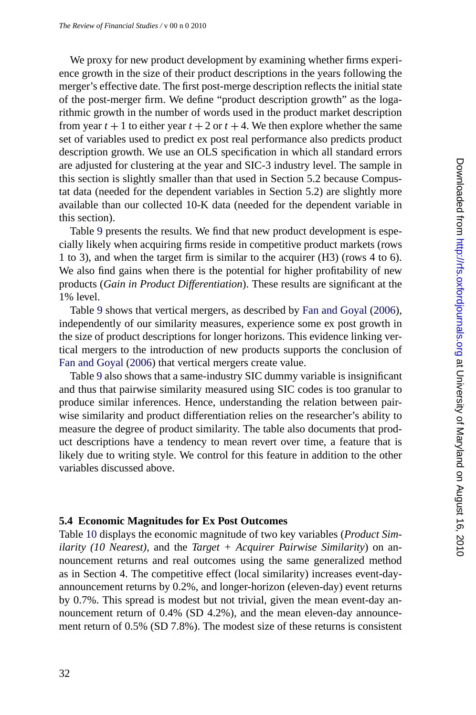We proxy for new product development by examining whether firms experience gro[w](#page-32-0)th in the size of their product descriptions in the years following the merger's effective date. The first post-merge description reflects the initial state of the post-merger firm. We define "product description growth" as the logarithmic growth in the number of words used in the product market description from year  $t + 1$  to either year  $t + 2$  or  $t + 4$ . We then explore whether the same set of variables used to predict ex post real performance also predicts product descripti[on](#page-32-0) growth. We use an OLS specification in w[hich all standar](#page-37-0)d [error](#page-37-0)s are adjusted for clustering at the year and SIC-3 industry level. The sample in this section is slightly smaller than that used in Section 5.2 because Compustat data (needed for the dependent variables in Section 5.2) are slightly more [available than](#page-37-0) o[ur co](#page-37-0)llected 10-K data (needed for the dependent variable in this sect[io](#page-32-0)n).

Table 9 presents the results. We find that new product development is especially likely when acquiring firms reside in competitive product markets (rows 1 to 3), and when the target firm is similar to the acquirer (H3) (rows 4 to 6). We also find gains when there is the potential for higher profitability of new products (*Gain in Product Differentiation*). These results are significant at the 1% level.

Table 9 shows that vertical mergers, as described by Fan and Goyal (2006), independently of our similarity measures, experience some ex post growth in the size of product descriptions for longer horizons. This evidence linking vertical mergers to the introduction of new products supports the conclusion of Fan and Goyal (2006) that vertical mergers create value.

Ta[ble](#page-33-0) 9 also shows that a same-industry SIC dummy variable is insignificant and thus that pairwise similarity measured using SIC codes is too granular to produce similar inferences. Hence, understanding the relation between pairwise similarity and product differentiation relies on the researcher's ability to measure the degree of product similarity. The table also documents that product descriptions have a tendency to mean revert over time, a feature that is likely due to writing style. We control for this feature in addition to the other variables discussed above.

# **5.4 Economic Magnitudes for Ex Post Outcomes**

Table 10 displays the economic magnitude of two key variables (*Product Similarity (10 Nearest)*, and the *Target + Acquirer Pairwise Similarity*) on announcement returns and real outcomes using the same generalized method as in Section 4. The competitive effect (local similarity) increases event-dayannouncement returns by 0.2%, and longer-horizon (eleven-day) event returns by 0.7%. This spread is modest but not trivial, given the mean event-day announcement return of 0.4% (SD 4.2%), and the mean eleven-day announcement return of 0.5% (SD 7.8%). The modest size of these returns is consistent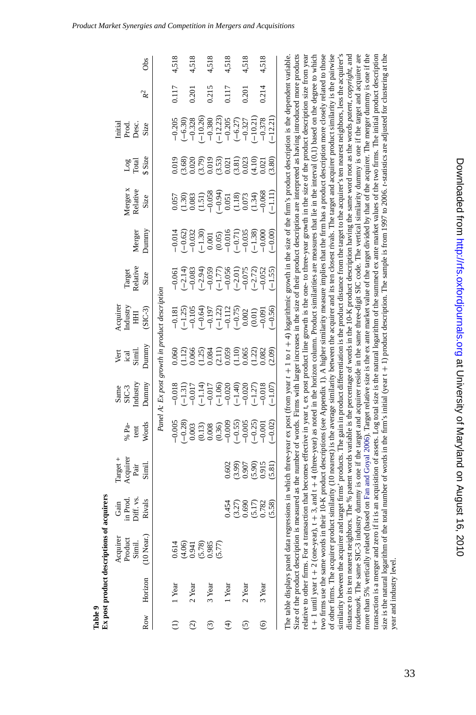| $\begin{array}{l} 0.005 \\[-4pt] -0.28 \\[-4pt] -0.003 \\[-4pt] -0.003 \\[-4pt] -0.003 \\[-4pt] -0.003 \\[-4pt] -0.003 \\[-4pt] -0.003 \\[-4pt] -0.003 \\[-4pt] -0.003 \\[-4pt] -0.003 \\[-4pt] -0.003 \\[-4pt] -0.003 \\[-4pt] -0.003 \\[-4pt] -0.003 \\[-4pt] -0.003 \\[-4pt] -0.003 \\[-4pt] -0.003 \\[-4pt] -0.003 \\[-4pt] -0.00$<br>% Pa-<br>tent<br>Words<br>$\begin{array}{l} \text{Target} \ + \\ \text{Acquire} \\ \text{Pair} \\ \text{Simil} \end{array}$<br>0.602<br>(3.99)<br>(3.90)<br>(5.81)<br>(5.81)<br>Gain<br>in Prod.<br>Diff. vs.<br>Rivals<br>0.454<br>(3.27)<br>(3.000<br>(5.58)<br>(5.58)<br>10 Near.<br>Acquirer<br>Product<br>Simil.<br>0.614<br>(4.06)<br>(5.78)<br>(5.77)<br>Horizon<br>1 Year<br>$2$ Year<br>3 Year<br>1 Year<br>2 Year<br>Row<br>$\widehat{\omega}$<br>$\widehat{\odot}$<br>$\widehat{\pm}$<br>$\widehat{c}$ |        | Ex post product descriptions of acquirers |  |                                    |                                                                                                                                                                                                                                                                                                     |                                                                                                                                                                                                                                                                                                             |                                                                                                                                                                                                                                                                                                                                          |                 |                                                                                                                                                                                                                                                                                                                               |                                                                                 |                                                                                                                                                                                                                                                                                                                                                |       |       |
|-------------------------------------------------------------------------------------------------------------------------------------------------------------------------------------------------------------------------------------------------------------------------------------------------------------------------------------------------------------------------------------------------------------------------------------------------------------------------------------------------------------------------------------------------------------------------------------------------------------------------------------------------------------------------------------------------------------------------------------------------------------------------------------------------------------------------------------------------------------|--------|-------------------------------------------|--|------------------------------------|-----------------------------------------------------------------------------------------------------------------------------------------------------------------------------------------------------------------------------------------------------------------------------------------------------|-------------------------------------------------------------------------------------------------------------------------------------------------------------------------------------------------------------------------------------------------------------------------------------------------------------|------------------------------------------------------------------------------------------------------------------------------------------------------------------------------------------------------------------------------------------------------------------------------------------------------------------------------------------|-----------------|-------------------------------------------------------------------------------------------------------------------------------------------------------------------------------------------------------------------------------------------------------------------------------------------------------------------------------|---------------------------------------------------------------------------------|------------------------------------------------------------------------------------------------------------------------------------------------------------------------------------------------------------------------------------------------------------------------------------------------------------------------------------------------|-------|-------|
|                                                                                                                                                                                                                                                                                                                                                                                                                                                                                                                                                                                                                                                                                                                                                                                                                                                             |        |                                           |  | Same<br>SIC-3<br>industry<br>Dummy | yummy<br>Vert<br>ical<br>Simil.                                                                                                                                                                                                                                                                     | $\frac{1}{\text{Adusty}}$<br>$\frac{1}{\text{H}}$<br>$\frac{1}{\text{H}}$<br>$\frac{1}{\text{H}}$<br>$\frac{1}{\text{H}}$                                                                                                                                                                                   | Target<br>Relative<br>Size                                                                                                                                                                                                                                                                                                               | Merger<br>Dummy | Merger x<br>Relative<br>Size                                                                                                                                                                                                                                                                                                  | Log<br>Total<br>Size                                                            | liitial<br>Prod.<br>Size                                                                                                                                                                                                                                                                                                                       | k,    | Obs   |
|                                                                                                                                                                                                                                                                                                                                                                                                                                                                                                                                                                                                                                                                                                                                                                                                                                                             |        |                                           |  |                                    |                                                                                                                                                                                                                                                                                                     | Panel A: Ex post growth in product description                                                                                                                                                                                                                                                              |                                                                                                                                                                                                                                                                                                                                          |                 |                                                                                                                                                                                                                                                                                                                               |                                                                                 |                                                                                                                                                                                                                                                                                                                                                |       |       |
|                                                                                                                                                                                                                                                                                                                                                                                                                                                                                                                                                                                                                                                                                                                                                                                                                                                             |        |                                           |  |                                    |                                                                                                                                                                                                                                                                                                     |                                                                                                                                                                                                                                                                                                             |                                                                                                                                                                                                                                                                                                                                          |                 |                                                                                                                                                                                                                                                                                                                               |                                                                                 |                                                                                                                                                                                                                                                                                                                                                | 0.117 | 4,518 |
|                                                                                                                                                                                                                                                                                                                                                                                                                                                                                                                                                                                                                                                                                                                                                                                                                                                             |        |                                           |  |                                    |                                                                                                                                                                                                                                                                                                     |                                                                                                                                                                                                                                                                                                             |                                                                                                                                                                                                                                                                                                                                          |                 |                                                                                                                                                                                                                                                                                                                               |                                                                                 |                                                                                                                                                                                                                                                                                                                                                |       |       |
|                                                                                                                                                                                                                                                                                                                                                                                                                                                                                                                                                                                                                                                                                                                                                                                                                                                             |        |                                           |  |                                    |                                                                                                                                                                                                                                                                                                     |                                                                                                                                                                                                                                                                                                             |                                                                                                                                                                                                                                                                                                                                          |                 |                                                                                                                                                                                                                                                                                                                               |                                                                                 |                                                                                                                                                                                                                                                                                                                                                | 0.201 | 4,518 |
|                                                                                                                                                                                                                                                                                                                                                                                                                                                                                                                                                                                                                                                                                                                                                                                                                                                             |        |                                           |  |                                    |                                                                                                                                                                                                                                                                                                     |                                                                                                                                                                                                                                                                                                             |                                                                                                                                                                                                                                                                                                                                          |                 |                                                                                                                                                                                                                                                                                                                               |                                                                                 |                                                                                                                                                                                                                                                                                                                                                |       |       |
|                                                                                                                                                                                                                                                                                                                                                                                                                                                                                                                                                                                                                                                                                                                                                                                                                                                             |        |                                           |  |                                    |                                                                                                                                                                                                                                                                                                     |                                                                                                                                                                                                                                                                                                             |                                                                                                                                                                                                                                                                                                                                          |                 |                                                                                                                                                                                                                                                                                                                               |                                                                                 |                                                                                                                                                                                                                                                                                                                                                | 0.215 | 4,518 |
|                                                                                                                                                                                                                                                                                                                                                                                                                                                                                                                                                                                                                                                                                                                                                                                                                                                             |        |                                           |  |                                    |                                                                                                                                                                                                                                                                                                     |                                                                                                                                                                                                                                                                                                             |                                                                                                                                                                                                                                                                                                                                          |                 |                                                                                                                                                                                                                                                                                                                               |                                                                                 |                                                                                                                                                                                                                                                                                                                                                |       |       |
|                                                                                                                                                                                                                                                                                                                                                                                                                                                                                                                                                                                                                                                                                                                                                                                                                                                             |        |                                           |  |                                    |                                                                                                                                                                                                                                                                                                     |                                                                                                                                                                                                                                                                                                             |                                                                                                                                                                                                                                                                                                                                          |                 |                                                                                                                                                                                                                                                                                                                               |                                                                                 |                                                                                                                                                                                                                                                                                                                                                | 117   | 4,518 |
|                                                                                                                                                                                                                                                                                                                                                                                                                                                                                                                                                                                                                                                                                                                                                                                                                                                             |        |                                           |  |                                    |                                                                                                                                                                                                                                                                                                     |                                                                                                                                                                                                                                                                                                             |                                                                                                                                                                                                                                                                                                                                          |                 |                                                                                                                                                                                                                                                                                                                               |                                                                                 |                                                                                                                                                                                                                                                                                                                                                |       |       |
|                                                                                                                                                                                                                                                                                                                                                                                                                                                                                                                                                                                                                                                                                                                                                                                                                                                             |        |                                           |  |                                    |                                                                                                                                                                                                                                                                                                     |                                                                                                                                                                                                                                                                                                             |                                                                                                                                                                                                                                                                                                                                          |                 |                                                                                                                                                                                                                                                                                                                               |                                                                                 |                                                                                                                                                                                                                                                                                                                                                | 0.201 | 4,518 |
|                                                                                                                                                                                                                                                                                                                                                                                                                                                                                                                                                                                                                                                                                                                                                                                                                                                             |        |                                           |  |                                    |                                                                                                                                                                                                                                                                                                     |                                                                                                                                                                                                                                                                                                             |                                                                                                                                                                                                                                                                                                                                          |                 |                                                                                                                                                                                                                                                                                                                               |                                                                                 |                                                                                                                                                                                                                                                                                                                                                |       |       |
| $\widehat{\circ}$                                                                                                                                                                                                                                                                                                                                                                                                                                                                                                                                                                                                                                                                                                                                                                                                                                           | 3 Year |                                           |  |                                    |                                                                                                                                                                                                                                                                                                     |                                                                                                                                                                                                                                                                                                             |                                                                                                                                                                                                                                                                                                                                          |                 |                                                                                                                                                                                                                                                                                                                               |                                                                                 |                                                                                                                                                                                                                                                                                                                                                | 0.214 | 4,518 |
|                                                                                                                                                                                                                                                                                                                                                                                                                                                                                                                                                                                                                                                                                                                                                                                                                                                             |        |                                           |  |                                    | $\begin{array}{l} 0.060 \\ 0.116 \\ 0.060 \\ 0.080 \\ 0.000 \\ 0.000 \\ 0.000 \\ 0.000 \\ 0.000 \\ 0.000 \\ 0.000 \\ 0.000 \\ 0.000 \\ 0.000 \\ 0.000 \\ 0.000 \\ 0.000 \\ 0.000 \\ 0.000 \\ 0.000 \\ 0.000 \\ 0.000 \\ 0.000 \\ 0.000 \\ 0.000 \\ 0.000 \\ 0.000 \\ 0.000 \\ 0.000 \\ 0.000 \\ 0.$ | $\begin{array}{l} 21.25 \\ 21.25 \\ 11.25 \\ 22.35 \\ 23.45 \\ 24.5 \\ 25.5 \\ 26.45 \\ 27.5 \\ 28.5 \\ 29.5 \\ 20.5 \\ 21.5 \\ 22.5 \\ 23.5 \\ 24.5 \\ 25.5 \\ 26.5 \\ 27.5 \\ 28.5 \\ 29.5 \\ 20.5 \\ 20.5 \\ 20.5 \\ 20.5 \\ 20.5 \\ 20.5 \\ 20.5 \\ 20.5 \\ 20.5 \\ 20.5 \\ 20.5 \\ 20.5 \\ 20.5 \\ 20$ | $\begin{array}{l} 50 \\[-4.2mm] -0.3 \\[-4.2mm] -0.4 \\[-4.2mm] -0.5 \\[-4.2mm] -0.5 \\[-4.2mm] -0.5 \\[-4.2mm] -0.5 \\[-4.2mm] -0.5 \\[-4.2mm] -0.5 \\[-4.2mm] -0.5 \\[-4.2mm] -0.5 \\[-4.2mm] -0.5 \\[-4.2mm] -0.5 \\[-4.2mm] -0.5 \\[-4.2mm] -0.5 \\[-4.2mm] -0.5 \\[-4.2mm] -0.5 \\[-4.2mm] -0.5 \\[-4.2mm] -0.5 \\[-4.2mm] -0.5 \\$ |                 | $\begin{array}{l} 0.057 \\ 0.300 \\ 0.083 \\ 0.051 \\ 0.003 \\ -0.053 \\ -0.033 \\ -0.033 \\ -0.034 \\ -0.003 \\ -0.003 \\ -0.003 \\ -0.003 \\ -0.003 \\ -0.003 \\ -0.003 \\ -0.003 \\ -0.003 \\ -0.003 \\ -0.003 \\ -0.003 \\ -0.003 \\ -0.003 \\ -0.003 \\ -0.003 \\ -0.003 \\ -0.003 \\ -0.003 \\ -0.003 \\ -0.003 \\ -0.$ | 0.019<br>(3.68)<br>(3.79) 0.013<br>(3.53) 0.023<br>(3.60) 0.023<br>(3.80) 0.023 | $\begin{array}{r} -0.205 \\ -0.328 \\ -0.328 \\ -10.26 \\ -1.239 \\ -0.380 \\ -0.30 \\ -0.30 \\ -0.30 \\ -0.31 \\ -0.21 \\ -0.21 \\ -0.37 \\ -0.37 \\ -0.31 \\ -12.21 \\ -1.21 \\ -1.21 \\ -1.21 \\ -1.21 \\ -1.21 \\ -1.21 \\ -1.21 \\ -1.21 \\ -1.21 \\ -1.22 \\ -1.22 \\ -1.23 \\ -1.23 \\ -1.23 \\ -1.23 \\ -1.23 \\ -1.23 \\ -1.23 \\ -1$ |       |       |
| The table displays panel data regressions in which three-vear ex post (from year $t+1$ to $t+4$ ) logarithmic growth in the size of the firm's product description is the dependent variable                                                                                                                                                                                                                                                                                                                                                                                                                                                                                                                                                                                                                                                                |        |                                           |  |                                    |                                                                                                                                                                                                                                                                                                     |                                                                                                                                                                                                                                                                                                             |                                                                                                                                                                                                                                                                                                                                          |                 |                                                                                                                                                                                                                                                                                                                               |                                                                                 |                                                                                                                                                                                                                                                                                                                                                |       |       |

of other firms. The acquirer product similarity (10 nearest) is the average similarity between the acquirer and its ten closest rivals. The target and acquirer product similarity is the pairwise similarity between the acqu *trademark*. The same SIC-3 industry dummy is one if the target and acquirer reside in the same three-digit SIC code. The vertical similarity dummy is one if the target and acquirer are<br>more than 5% vertically related (bas transaction is a merger and zero if it is an acquisition of assets. Log total size is the natural logarithm of the summed ex ante market values of the two firms. The initial product description<br>size is the natural logarit Size of the product description is measured as the number of words. Firms with larger increases in the size of their product description are interpreted as having introduced more products relative to other firms. For a transaction that becomes effective in year t, ex post product line growth is the one- to three-year growth in the size of the product description size from year  $+4$  (three-year) as noted in the horizon column. Product similarities are measures that lie in the interval  $(0,1)$  based on the degree to which two firms use the same words in their 10-K product descriptions (see Appendix 1). A higher similarity measure implies that the firm has a product description more closely related to those two firms use the same words in their 10-K product descriptions (see Appendix 1). A higher similarity measure implies that the firm has a product description more closely related to those of other firms. The acquirer product similarity (10 nearest) is the average similarity between the acquirer and its ten closest rivals. The target and acquirer product similarity is the pairwise similarity between the acquirer and target firms' products. The gain in product differentiation is the product distance from the target to the acquirer's ten nearest neighbors, less the acquirer's distance to its ten nearest neighbors. The % patent words variable is the percentage of words in the 10-K product description having the same word root as the words patent, copyright, and distance to its ten nearest neighbors. The % patent words variable is the percentage of words in the 10-K product description having the same word root as the words *patent*, *copyright*, and *trademark*. The same SIC-3 industry dummy is one if the target and acquirer reside in the same three-digit SIC code. The vertical similarity dummy is one if the target and acquirer are more than 5% vertically related (based on Fan and Goyal 2006). Target relative size is the ex ante [market](#page-37-0) value [of](#page-37-0) the target divided by that of the acquirer. The merger dummy is one if the transaction is a merger and zero if it is an acquisition of assets. Log total size is the natural logarithm of the summed ex ante market values of the two firms. The initial product description 1) product description. The sample is from 1997 to 2006. *t*-statistics are adjusted for clustering at the size is the natural logarithm of the total number of words in the firm's initial (year t  $+$   $+$   $+$  2 (one-year), t year and industry level. year and industry level. ++ 1 until year t

t

Downloaded from http://rfs.oxfordjournals.org at University of Maryland on August 16, 2010 at University of Maryland on August 16, 2010 http://rfs.oxfordjournals.org [Download](http://rfs.oxfordjournals.org)ed from

### <span id="page-32-0"></span>*Product Market Synergies and Competition in Mergers and Acquisitions*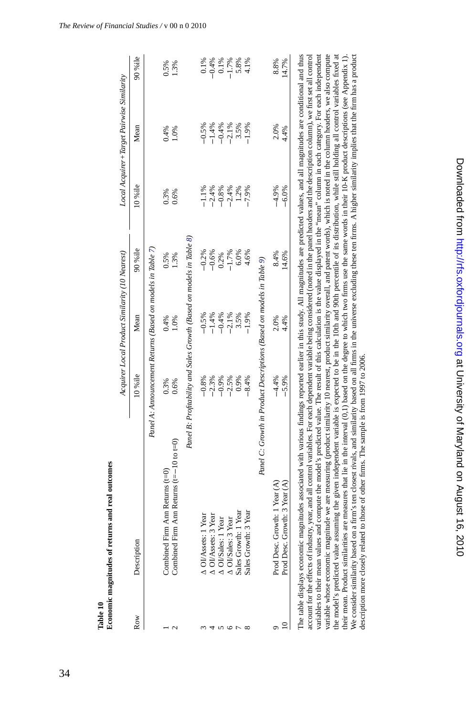|     |                                                                                                |                                                                      | Acquirer Local Product Similarity (10 Nearest) |                    |              | Local Acquirer+Target Pairwise Similarity |              |
|-----|------------------------------------------------------------------------------------------------|----------------------------------------------------------------------|------------------------------------------------|--------------------|--------------|-------------------------------------------|--------------|
| Row | Description                                                                                    | $10%$ ile                                                            | Mean                                           | 90 %ile            | 10%ile       | Mean                                      | 90%ile       |
|     |                                                                                                | Panel A: Announcement Returns (Based on models in Table 7)           |                                                |                    |              |                                           |              |
|     | Firm Ann Returns $(t=-10 \text{ to } t=0)$<br>Firm Ann Returns $(t=0)$<br>Combined<br>Combined | 0.3%<br>0.6%                                                         | 0.4%<br>1.0%                                   | 0.5%<br>1.3%       | 0.3%<br>0.6% | 0.4%<br>1.0%                              | 0.5%<br>1.3% |
|     |                                                                                                | Panel B: Profitability and Sales Growth (Based on models in Table 8) |                                                |                    |              |                                           |              |
|     | A OI/Assets: 1 Year                                                                            | $-0.8%$                                                              | $-0.5%$                                        |                    | $-1.1\%$     |                                           |              |
|     | A OI/Assets: 3 Year                                                                            | $-2.3%$                                                              | $-1.4%$                                        | $-0.2%$<br>$-0.6%$ | $-2.4%$      | $88888$<br>$-1484$<br>$-147$<br>$-11$     |              |
|     | A OI/Sales: 1 Year                                                                             | $-0.9%$                                                              | $-0.4%$                                        | 0.2%               | $-0.8%$      |                                           |              |
|     | A OI/Sales: 3 Year                                                                             | $-2.5%$                                                              | $-2.1%$                                        | $-1.7%$            | $-2.4%$      |                                           |              |
|     | Sales Growth: 1 Year                                                                           | 0.9%                                                                 | 3.5%                                           | 6.0%               | 1.2%         | 3.5%                                      |              |
|     | Sales Growth: 3 Year                                                                           | $-8.4%$                                                              | $-1.9%$                                        | 4.6%               | $-7.9%$      | $-1.9%$                                   |              |
|     |                                                                                                | Panel C: Growth in Product Descriptions (Based on models in Table 9) |                                                |                    |              |                                           |              |
|     | Prod Desc. Growth: 1 Year (A)                                                                  | $-4.4%$                                                              | 2.0%                                           | 8.4%               | $-4.9%$      | 2.0%                                      | 8.8%         |
|     | Prod Desc. Growth: 3 Year (A)                                                                  | $-5.9%$                                                              | 4.4%                                           | 14.6%              | $-6.0\%$     | 4.4%                                      | 14.7%        |

account for the effects of industry, year, and all control variables. For each dependent variable being considered (noted in the panel headers and the description column), we first set all control variables of heir mean va account for the effects of industry, year, and all control variables. For each dependent variable being considered (noted in the panel headers and the description column), we first set all control variables to their mean values and compute the model's predicted value. The result of this calculation is the value displayed in the "mean" column in each category. For each independent variable whose economic magnitude we are measuring (product similarity 10 nearest, product similarity overall, and patent words), which is noted in the column headers, we also compute the model's predicted value assuming the given independent variable is expected to be in the 10th and 90th percentile of its distribution, while still holding all control variables fixed at their mean. Product similarities are measures that lie in the interval (0,1) based on the degree to which two firms use the same words in their 10-K product descriptions (see Appendix 1). We consider similarity based on a firm's ten closest rivals, and similarity based on all firms in the universe excluding these ten firms. A higher similarity implies that the firm has a product description more closely related to those of other firms. The sample is from 1997 to 2006.

Downloaded from http://rfs.oxfordjournals.org at University of Maryland on August 16, 2010 at University of Maryland on August 16, 2010 http://rfs.oxfordjournals.org [Download](http://rfs.oxfordjournals.org)ed from

## <span id="page-33-0"></span>*The Review of Financial Studies /* v 00 n 0 2010

Table 10<br>Economic magnitudes of returns and real outcomes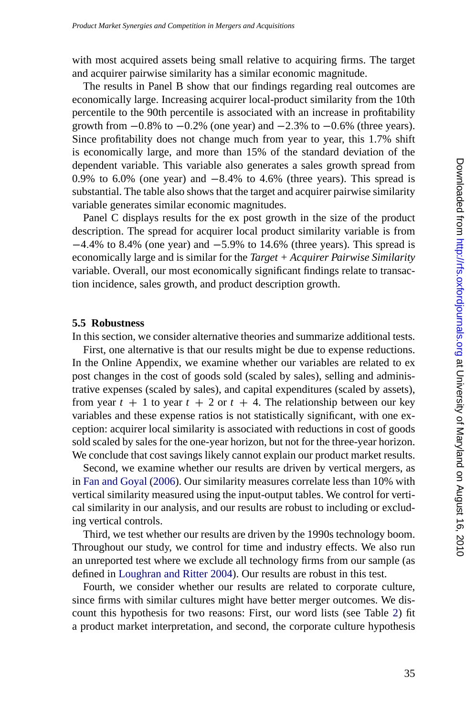with most acquired assets being small relative to acquiring firms. The target and acquirer pairwise similarity has a similar economic magnitude.

The results in Panel B show that our findings regarding real outcomes are economically large. Increasing acquirer local-product similarity from the 10th percentile to the 90th percentile is associated with an increase in profitability growth from  $-0.8\%$  to  $-0.2\%$  (one year) and  $-2.3\%$  to  $-0.6\%$  (three years). Since profitability does not change much from year to year, this 1.7% shift is economically large, and more than 15% of the standard deviation of the dependent variable. This variable also generates a sales growth spread from 0.9% to 6.0% (one year) and −8.4% to 4.6% (three years). This spread is substantial. The table also shows that the target and acquirer pairwise similarity variable generates similar economic magnitudes.

Panel C displays results for the ex post growth in the size of the product description. The spread for acquirer local product similarity variable is from −4.4% to 8.4% (one year) and −5.9% to 14.6% (three years). This spread is economically large and is similar for the *Target + Acquirer Pairwise Similarity* variable. Overall, our most economically significant findings relate to transaction incidence, sales growth, and product description growth.

### **5.[5 Robustness](#page-37-0)**

In this section, we consider alternative theories and summarize additional tests.

First, one alternative is that our results might be due to expense reductions. In the Online Appendix, we examine whether our variables are related to ex post changes in the cost of goods sold (scaled by sales), selling and administrative expenses (scaled by sales), and capital expenditures (scaled by assets), from year  $t + 1$  to year  $t + 2$  or  $t + 4$ . The relationship between our key variables [and these expense ratios is](#page-38-0) not statistically significant, with one exception: acquirer local similarity is associated with reductions in cost of goods sold scaled by sales for the one-year horizon, but not for the three-year horizon. We conclude that cost savings likely cannot explain our product market re[su](#page-16-0)lts.

Second, we examine whether our results are driven by vertical mergers, as in Fan and Goyal (2006). Our similarity measures correlate less than 10% with vertical similarity measured using the input-output tables. We control for vertical similarity in our analysis, and our results are robust to including or excluding vertical controls.

Third, we test whether our results are driven by the 1990s technology boom. Throughout our study, we control for time and industry effects. We also run an unreported test where we exclude all technology firms from our sample (as defined in Loughran and Ritter 2004). Our results are robust in this test.

Fourth, we consider whether our results are related to corporate culture, since firms with similar cultures might have better merger outcomes. We discount this hypothesis for two reasons: First, our word lists (see Table 2) fit a product market interpretation, and second, the corporate culture hypothesis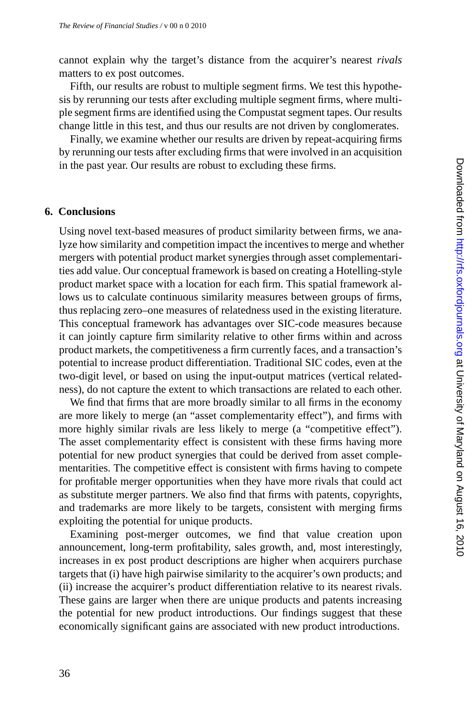cannot explain why the target's distance from the acquirer's nearest *rivals* matters to ex post outcomes.

Fifth, our results are robust to multiple segment firms. We test this hypothesis by rerunning our tests after excluding multiple segment firms, where multiple segment firms are identified using the Compustat segment tapes. Our results change little in this test, and thus our results are not driven by conglomerates.

Finally, we examine whether our results are driven by repeat-acquiring firms by rerunning our tests after excluding firms that were involved in an acquisition in the past year. Our results are robust to excluding these firms.

### **6. Conclusions**

Using novel text-based measures of product similarity between firms, we analyze how similarity and competition impact the incentives to merge and whether mergers with potential product market synergies through asset complementarities add value. Our conceptual framework is based on creating a Hotelling-style product market space with a location for each firm. This spatial framework allows us to calculate continuous similarity measures between groups of firms, thus replacing zero–one measures of relatedness used in the existing literature. This conceptual framework has advantages over SIC-code measures because it can jointly capture firm similarity relative to other firms within and across product markets, the competitiveness a firm currently faces, and a transaction's potential to increase product differentiation. Traditional SIC codes, even at the two-digit level, or based on using the input-output matrices (vertical relatedness), do not capture the extent to which transactions are related to each other.

We find that firms that are more broadly similar to all firms in the economy are more likely to merge (an "asset complementarity effect"), and firms with more highly similar rivals are less likely to merge (a "competitive effect"). The asset complementarity effect is consistent with these firms having more potential for new product synergies that could be derived from asset complementarities. The competitive effect is consistent with firms having to compete for profitable merger opportunities when they have more rivals that could act as substitute merger partners. We also find that firms with patents, copyrights, and trademarks are more likely to be targets, consistent with merging firms exploiting the potential for unique products.

Examining post-merger outcomes, we find that value creation upon announcement, long-term profitability, sales growth, and, most interestingly, increases in ex post product descriptions are higher when acquirers purchase targets that (i) have high pairwise similarity to the acquirer's own products; and (ii) increase the acquirer's product differentiation relative to its nearest rivals. These gains are larger when there are unique products and patents increasing the potential for new product introductions. Our findings suggest that these economically significant gains are associated with new product introductions.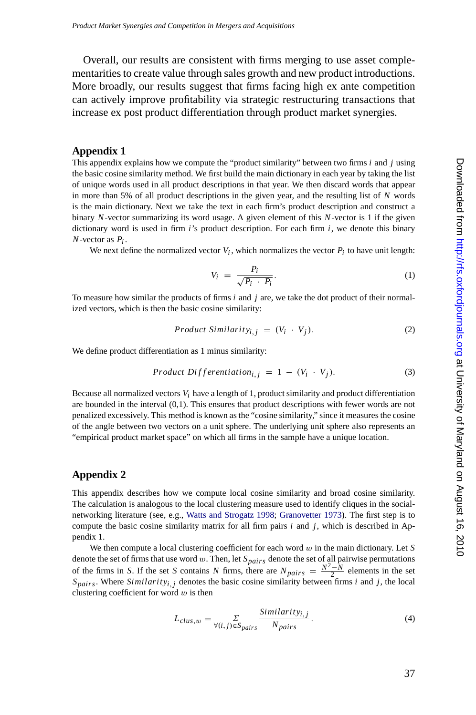Overall, our results are consistent with firms merging to use asset complementarities to create value through sales growth and new product introductions. More broadly, our results suggest that firms facing high ex ante competition can actively improve profitability via strategic restructuring transactions that increase ex post product differentiation through product market synergies.

### **Appendix 1**

This appendix explains how we compute the "product similarity" between two firms *i* and *j* using the basic cosine similarity method. We first build the main dictionary in each year by taking the list of unique words used in all product descriptions in that year. We then discard words that appear in more than 5% of all product descriptions in the given year, and the resulting list of *N* words is the main dictionary. Next we take the text in each firm's product description and construct a binary *N*-vector summarizing its word usage. A given element of this *N*-vector is 1 if the given dictionary word is used in firm *i*'s product description. For each firm *i*, we denote this binary *N*-vector as *Pi* .

We next define the normalized vector  $V_i$ , which normalizes the vector  $P_i$  to have unit length:

$$
V_i = \frac{P_i}{\sqrt{P_i - P_i}}.\tag{1}
$$

To measure how similar the products of firms *i* and *j* are, we take the dot product of their normalized vectors, which is then the basic cosine similarity:

$$
Product Similarity_{i,j} = (V_i \cdot V_j). \tag{2}
$$

We define product differentiatio[n as 1 minus similarity:](#page-38-0)

$$
Product\;Differentiation_{i,j} = 1 - (V_i \cdot V_j). \tag{3}
$$

Because all normalized vectors *Vi* have a length of 1, product similarity and product differentiation are bounded in the interval (0,1). This ensures that product descriptions with fewer words are not penalized excessively. This method is known as the "cosine similarity," since it measures the cosine of the angle between two vectors on a unit sphere. The underlying unit sphere also represents an "empirical product market space" on which all firms in the sample have a unique location.

## **Appendix 2**

This appendix describes how we compute local cosine similarity and broad cosine similarity. The calculation is analogous to the local clustering measure used to identify cliques in the socialnetworking literature (see, e.g., Watts and Strogatz 1998; Granovetter 1973). The first step is to compute the basic cosine similarity matrix for all firm pairs *i* and *j*, which is described in Appendix 1.

We then compute a local clustering coefficient for each word w in the main dictionary. Let *S* denote the set of firms that use word w. Then, let  $S_{pairs}$  denote the set of all pairwise permutations of the firms in S. If the set S contains N firms, there are  $N_{pairs} = \frac{N^2 - N}{2}$  elements in the set  $S_{pairs}$ . Where  $Similarity_{i,j}$  denotes the basic cosine similarity between firms *i* and *j*, the local clustering coefficient for word  $w$  is then

$$
L_{clus, w} = \sum_{\forall (i, j) \in S_{pairs}} \frac{Similarity_{i, j}}{N_{pairs}}.
$$
 (4)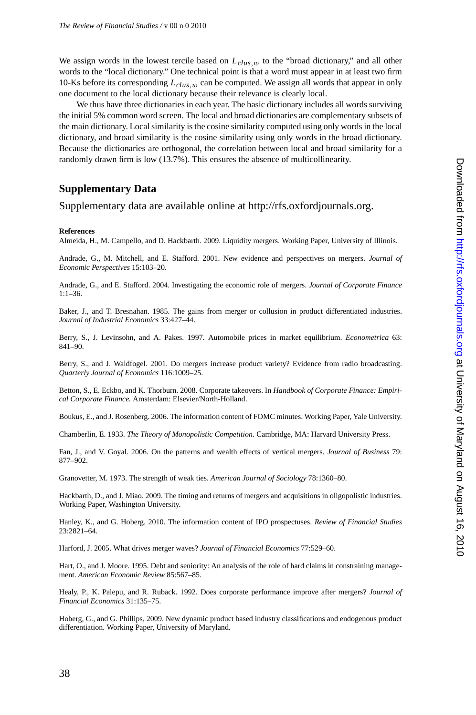<span id="page-37-0"></span>We assign words in the lowest tercile based on  $L_{clus, w}$  to the "broad dictionary," and all other words to the "local dictionary." One technical point is that a word must appear in at least two firm 10-Ks before its corresponding  $L_{clus, w}$  can be computed. We assign all words that appear in only one document to the local dictionary because their relevance is clearly local.

We thus have three dictionaries in each year. The basic dictionary includes all words surviving the initial 5% common word screen. The local and broad dictionaries are complementary subsets of the main dictionary. Local similarity is the cosine similarity computed using only words in the local dictionary, and broad similarity is the cosine similarity using only words in the broad dictionary. Because the dictionaries are orthogonal, the correlation between local and broad similarity for a randomly drawn firm is low (13.7%). This ensures the absence of multicollinearity.

### **Supplementary Data**

Supplementary data are available online at http://rfs.oxfordjournals.org.

### **References**

Almeida, H., M. Campello, and D. Hackbarth. 2009. Liquidity mergers. Working Paper, University of Illinois.

Andrade, G., M. Mitchell, and E. Stafford. 2001. New evidence and perspectives on mergers. *Journal of Economic Perspectives* 15:103–20.

Andrade, G., and E. Stafford. 2004. Investigating the economic role of mergers. *Journal of Corporate Finance* 1:1–36.

Baker, J., and T. Bresnahan. 1985. The gains from merger or collusion in product differentiated industries. *Journal of Industrial Economics* 33:427–44.

Berry, S., J. Levinsohn, and A. Pakes. 1997. Automobile prices in market equilibrium. *Econometrica* 63: 841–90.

Berry, S., and J. Waldfogel. 2001. Do mergers increase product variety? Evidence from radio broadcasting. *Quarterly Journal of Economics* 116:1009–25.

Betton, S., E. Eckbo, and K. Thorburn. 2008. Corporate takeovers. In *Handbook of Corporate Finance: Empirical Corporate Finance.* Amsterdam: Elsevier/North-Holland.

Boukus, E., and J. Rosenberg. 2006. The information content of FOMC minutes. Working Paper, Yale University.

Chamberlin, E. 1933. *The Theory of Monopolistic Competition*. Cambridge, MA: Harvard University Press.

Fan, J., and V. Goyal. 2006. On the patterns and wealth effects of vertical mergers. *Journal of Business* 79: 877–902.

Granovetter, M. 1973. The strength of weak ties. *American Journal of Sociology* 78:1360–80.

Hackbarth, D., and J. Miao. 2009. The timing and returns of mergers and acquisitions in oligopolistic industries. Working Paper, Washington University.

Hanley, K., and G. Hoberg. 2010. The information content of IPO prospectuses. *Review of Financial Studies* 23:2821–64.

Harford, J. 2005. What drives merger waves? *Journal of Financial Economics* 77:529–60.

Hart, O., and J. Moore. 1995. Debt and seniority: An analysis of the role of hard claims in constraining management. *American Economic Review* 85:567–85.

Healy, P., K. Palepu, and R. Ruback. 1992. Does corporate performance improve after mergers? *Journal of Financial Economics* 31:135–75.

Hoberg, G., and G. Phillips, 2009. New dynamic product based industry classifications and endogenous product differentiation. Working Paper, University of Maryland.